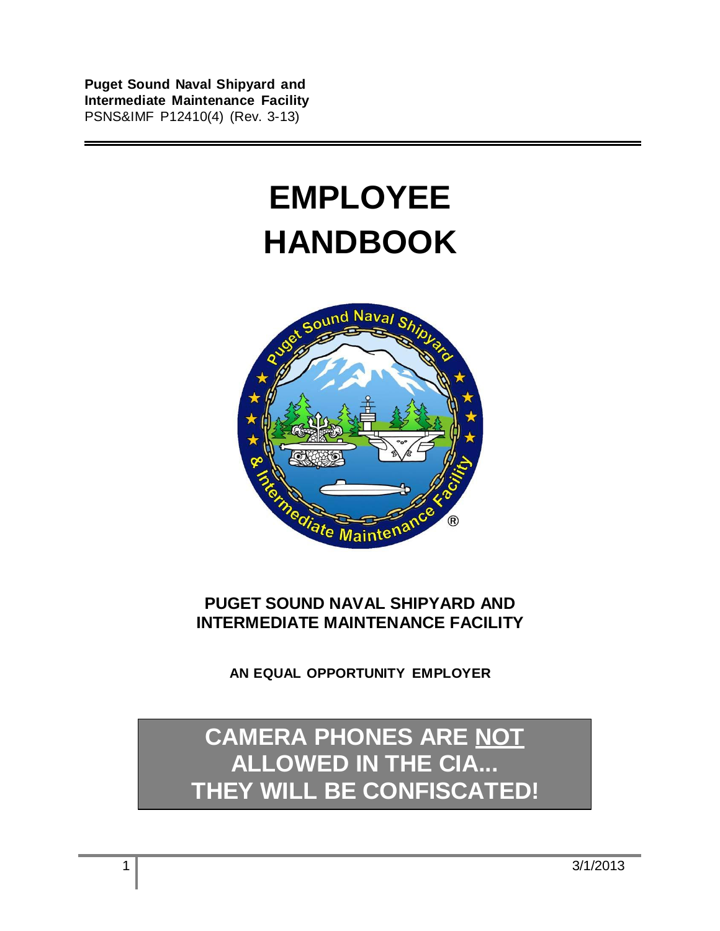**Puget Sound Naval Shipyard and Intermediate Maintenance Facility**  PSNS&IMF P12410(4) (Rev. 3-13)

# **EMPLOYEE HANDBOOK**



## **PUGET SOUND NAVAL SHIPYARD AND INTERMEDIATE MAINTENANCE FACILITY**

**AN EQUAL OPPORTUNITY EMPLOYER**

## **CAMERA PHONES ARE NOT ALLOWED IN THE CIA... THEY WILL BE CONFISCATED!**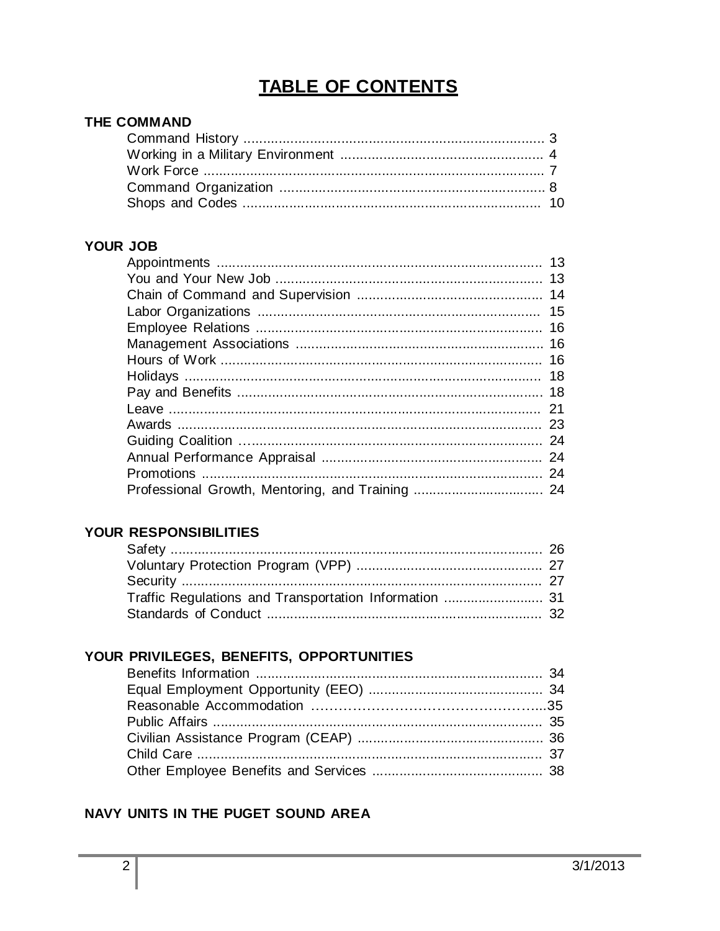## **TABLE OF CONTENTS**

#### THE COMMAND

## YOUR JOB

|    | 13 |
|----|----|
| 13 |    |
|    | 14 |
|    | 15 |
|    | 16 |
|    |    |
|    | 16 |
| 18 |    |
|    | 18 |
| 21 |    |
|    | 23 |
|    |    |
| 24 |    |
|    | 24 |
|    |    |

## YOUR RESPONSIBILITIES

## YOUR PRIVILEGES, BENEFITS, OPPORTUNITIES

## NAVY UNITS IN THE PUGET SOUND AREA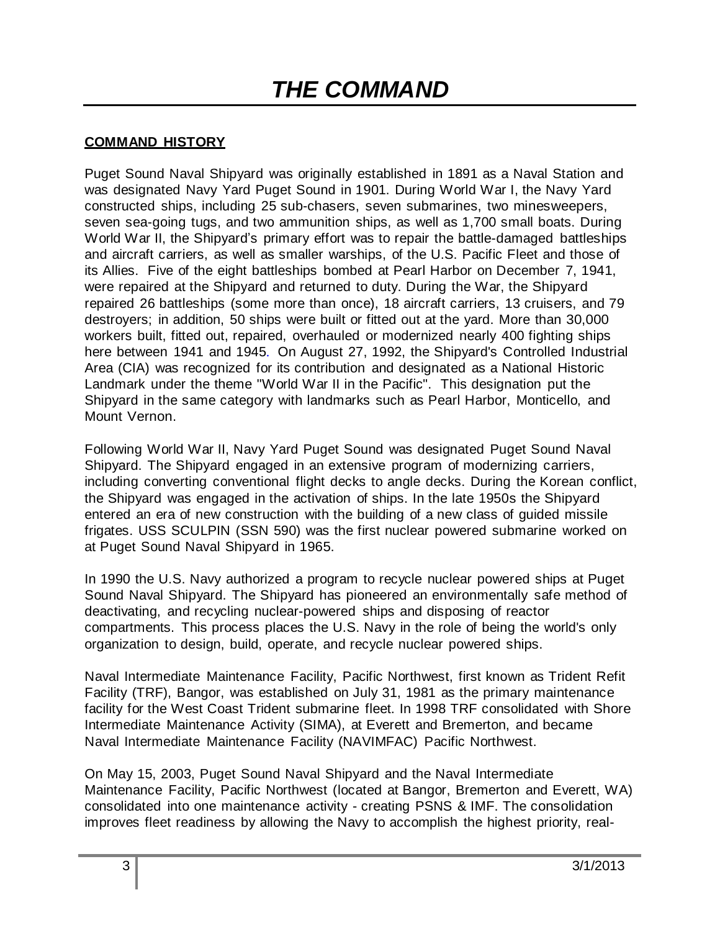## **COMMAND HISTORY**

Puget Sound Naval Shipyard was originally established in 1891 as a Naval Station and was designated Navy Yard Puget Sound in 1901. During World War I, the Navy Yard constructed ships, including 25 sub-chasers, seven submarines, two minesweepers, seven sea-going tugs, and two ammunition ships, as well as 1,700 small boats. During World War II, the Shipyard's primary effort was to repair the battle-damaged battleships and aircraft carriers, as well as smaller warships, of the U.S. Pacific Fleet and those of its Allies. Five of the eight battleships bombed at Pearl Harbor on December 7, 1941, were repaired at the Shipyard and returned to duty. During the War, the Shipyard repaired 26 battleships (some more than once), 18 aircraft carriers, 13 cruisers, and 79 destroyers; in addition, 50 ships were built or fitted out at the yard. More than 30,000 workers built, fitted out, repaired, overhauled or modernized nearly 400 fighting ships here between 1941 and 1945. On August 27, 1992, the Shipyard's Controlled Industrial Area (CIA) was recognized for its contribution and designated as a National Historic Landmark under the theme "World War II in the Pacific". This designation put the Shipyard in the same category with landmarks such as Pearl Harbor, Monticello, and Mount Vernon.

Following World War II, Navy Yard Puget Sound was designated Puget Sound Naval Shipyard. The Shipyard engaged in an extensive program of modernizing carriers, including converting conventional flight decks to angle decks. During the Korean conflict, the Shipyard was engaged in the activation of ships. In the late 1950s the Shipyard entered an era of new construction with the building of a new class of guided missile frigates. USS SCULPIN (SSN 590) was the first nuclear powered submarine worked on at Puget Sound Naval Shipyard in 1965.

In 1990 the U.S. Navy authorized a program to recycle nuclear powered ships at Puget Sound Naval Shipyard. The Shipyard has pioneered an environmentally safe method of deactivating, and recycling nuclear-powered ships and disposing of reactor compartments. This process places the U.S. Navy in the role of being the world's only organization to design, build, operate, and recycle nuclear powered ships.

Naval Intermediate Maintenance Facility, Pacific Northwest, first known as Trident Refit Facility (TRF), Bangor, was established on July 31, 1981 as the primary maintenance facility for the West Coast Trident submarine fleet. In 1998 TRF consolidated with Shore Intermediate Maintenance Activity (SIMA), at Everett and Bremerton, and became Naval Intermediate Maintenance Facility (NAVIMFAC) Pacific Northwest.

On May 15, 2003, Puget Sound Naval Shipyard and the Naval Intermediate Maintenance Facility, Pacific Northwest (located at Bangor, Bremerton and Everett, WA) consolidated into one maintenance activity - creating PSNS & IMF. The consolidation improves fleet readiness by allowing the Navy to accomplish the highest priority, real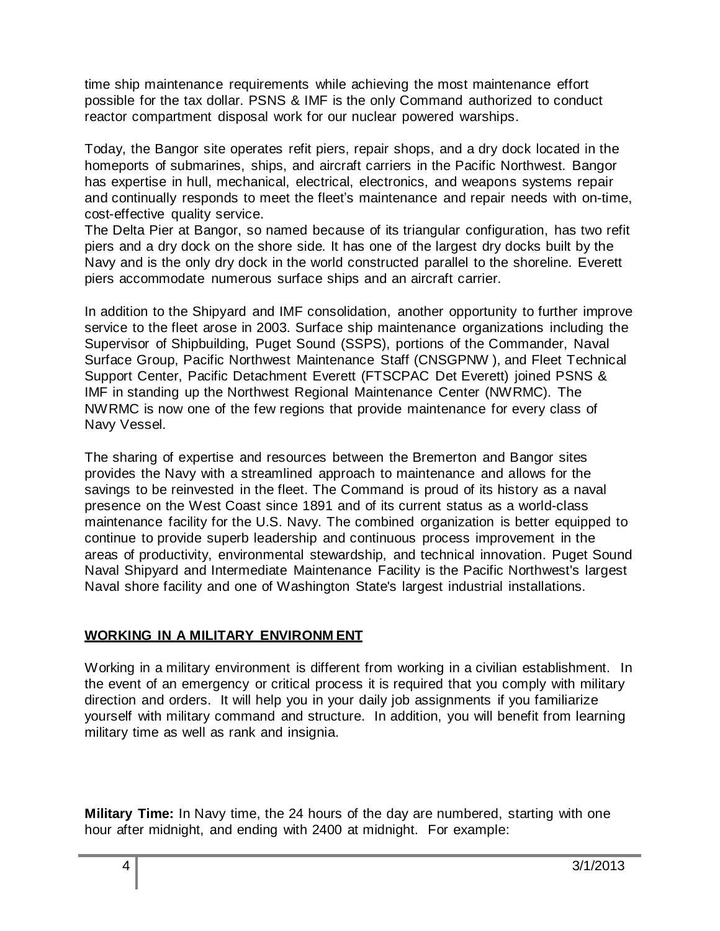time ship maintenance requirements while achieving the most maintenance effort possible for the tax dollar. PSNS & IMF is the only Command authorized to conduct reactor compartment disposal work for our nuclear powered warships.

Today, the Bangor site operates refit piers, repair shops, and a dry dock located in the homeports of submarines, ships, and aircraft carriers in the Pacific Northwest. Bangor has expertise in hull, mechanical, electrical, electronics, and weapons systems repair and continually responds to meet the fleet's maintenance and repair needs with on-time, cost-effective quality service.

The Delta Pier at Bangor, so named because of its triangular configuration, has two refit piers and a dry dock on the shore side. It has one of the largest dry docks built by the Navy and is the only dry dock in the world constructed parallel to the shoreline. Everett piers accommodate numerous surface ships and an aircraft carrier.

In addition to the Shipyard and IMF consolidation, another opportunity to further improve service to the fleet arose in 2003. Surface ship maintenance organizations including the Supervisor of Shipbuilding, Puget Sound (SSPS), portions of the Commander, Naval Surface Group, Pacific Northwest Maintenance Staff (CNSGPNW ), and Fleet Technical Support Center, Pacific Detachment Everett (FTSCPAC Det Everett) joined PSNS & IMF in standing up the Northwest Regional Maintenance Center (NWRMC). The NWRMC is now one of the few regions that provide maintenance for every class of Navy Vessel.

The sharing of expertise and resources between the Bremerton and Bangor sites provides the Navy with a streamlined approach to maintenance and allows for the savings to be reinvested in the fleet. The Command is proud of its history as a naval presence on the West Coast since 1891 and of its current status as a world-class maintenance facility for the U.S. Navy. The combined organization is better equipped to continue to provide superb leadership and continuous process improvement in the areas of productivity, environmental stewardship, and technical innovation. Puget Sound Naval Shipyard and Intermediate Maintenance Facility is the Pacific Northwest's largest Naval shore facility and one of Washington State's largest industrial installations.

## **WORKING IN A MILITARY ENVIRONM ENT**

Working in a military environment is different from working in a civilian establishment. In the event of an emergency or critical process it is required that you comply with military direction and orders. It will help you in your daily job assignments if you familiarize yourself with military command and structure. In addition, you will benefit from learning military time as well as rank and insignia.

**Military Time:** In Navy time, the 24 hours of the day are numbered, starting with one hour after midnight, and ending with 2400 at midnight. For example: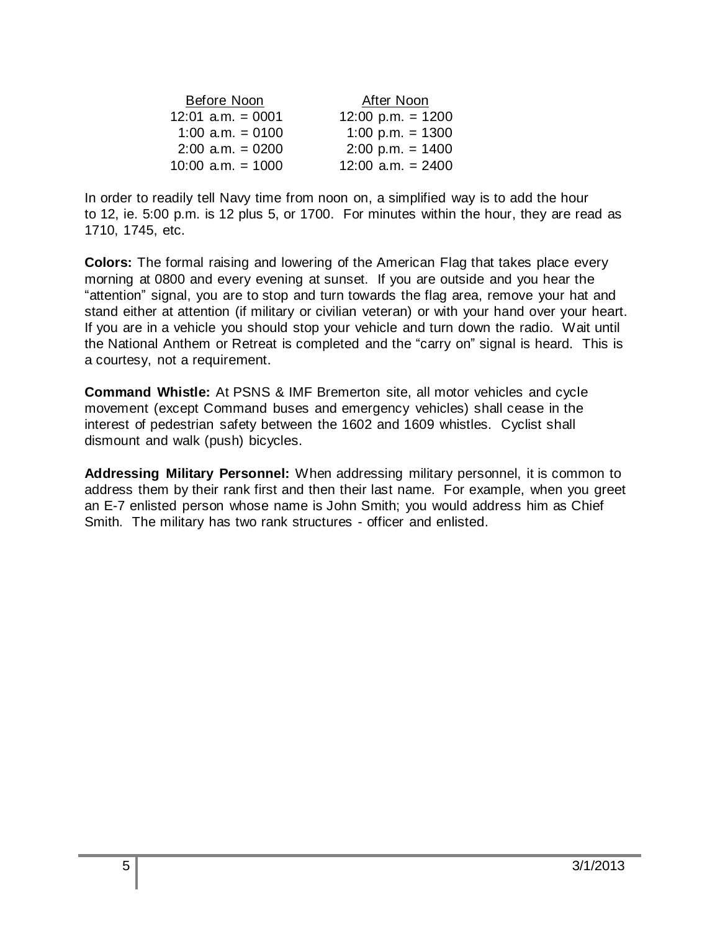| Before Noon         | After Noon          |
|---------------------|---------------------|
| $12:01$ a.m. = 0001 | 12:00 p.m. = $1200$ |
| 1:00 a.m. $= 0100$  | 1:00 p.m. = $1300$  |
| $2:00$ a.m. = 0200  | $2:00$ p.m. = 1400  |
| $10:00$ a.m. = 1000 | $12:00$ a.m. = 2400 |

In order to readily tell Navy time from noon on, a simplified way is to add the hour to 12, ie. 5:00 p.m. is 12 plus 5, or 1700. For minutes within the hour, they are read as 1710, 1745, etc.

**Colors:** The formal raising and lowering of the American Flag that takes place every morning at 0800 and every evening at sunset. If you are outside and you hear the "attention" signal, you are to stop and turn towards the flag area, remove your hat and stand either at attention (if military or civilian veteran) or with your hand over your heart. If you are in a vehicle you should stop your vehicle and turn down the radio. Wait until the National Anthem or Retreat is completed and the "carry on" signal is heard. This is a courtesy, not a requirement.

**Command Whistle:** At PSNS & IMF Bremerton site, all motor vehicles and cycle movement (except Command buses and emergency vehicles) shall cease in the interest of pedestrian safety between the 1602 and 1609 whistles. Cyclist shall dismount and walk (push) bicycles.

**Addressing Military Personnel:** When addressing military personnel, it is common to address them by their rank first and then their last name. For example, when you greet an E-7 enlisted person whose name is John Smith; you would address him as Chief Smith. The military has two rank structures - officer and enlisted.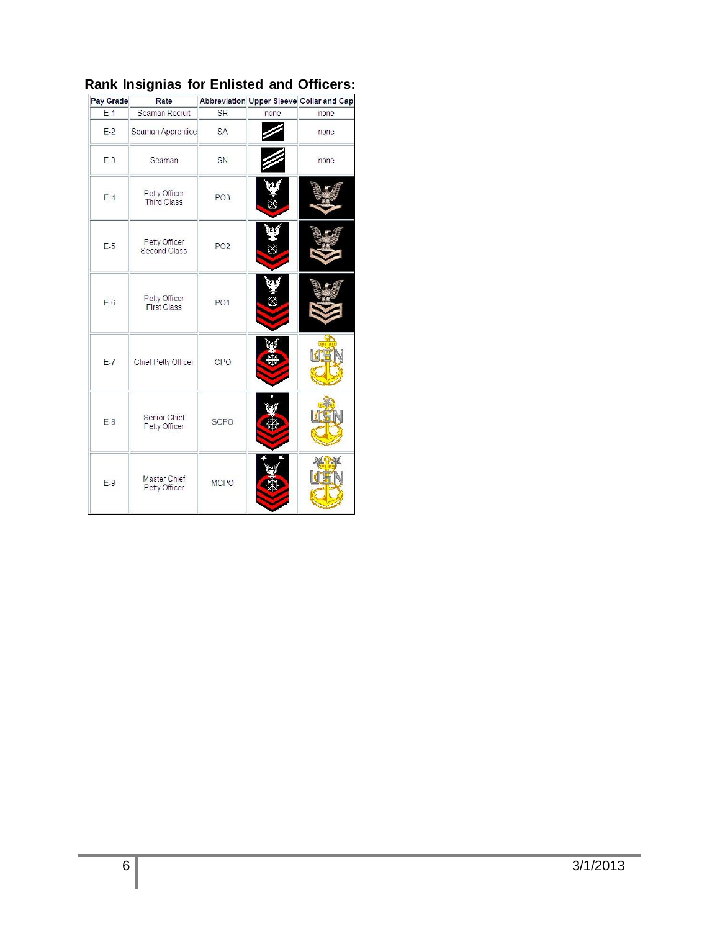| Pay Grade | Rate                                |                 |      | Abbreviation Upper Sleeve Collar and Cap |
|-----------|-------------------------------------|-----------------|------|------------------------------------------|
| $E-1$     | Seaman Recruit                      | <b>SR</b>       | none | none                                     |
| $E-2$     | Seaman Apprentice                   | <b>SA</b>       |      | none                                     |
| $E-3$     | Seaman                              | SN              |      | none                                     |
| $E-4$     | Petty Officer<br><b>Third Class</b> | PO <sub>3</sub> |      |                                          |
| $E-5$     | Petty Officer<br>Second Class       | PO <sub>2</sub> |      |                                          |
| $E-6$     | Petty Officer<br><b>First Class</b> | PO <sub>1</sub> |      |                                          |
| $E-7$     | Chief Petty Officer                 | CPO             |      | <b>THE</b>                               |
| $E-8$     | Senior Chief<br>Petty Officer       | <b>SCPO</b>     |      |                                          |
| $E-9$     | Master Chief<br>Petty Officer       | <b>MCPO</b>     |      |                                          |

## **Rank Insignias for Enlisted and Officers:**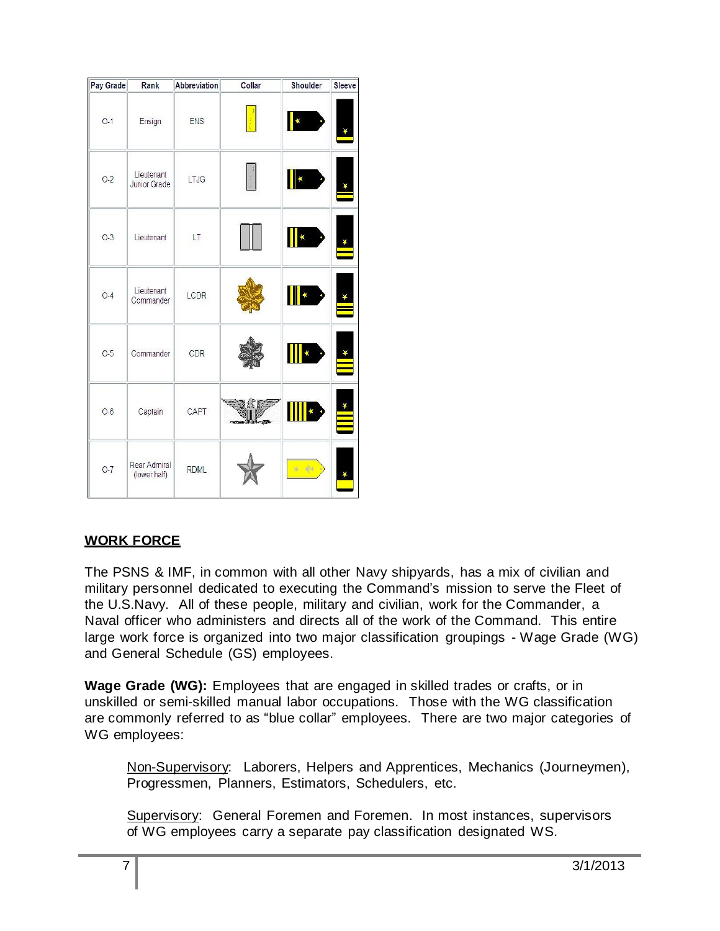| Pay Grade | Rank                              | Abbreviation | Collar     | Shoulder     | Sleeve |
|-----------|-----------------------------------|--------------|------------|--------------|--------|
| $O-1$     | Ensign                            | <b>ENS</b>   |            |              |        |
| $0 - 2$   | Lieutenant<br><b>Junior Grade</b> | LTJG         |            |              |        |
| $O-3$     | Lieutenant                        | LT           |            | ¥            |        |
| $O-4$     | Lieutenant<br>Commander           | LCDR         |            | k            |        |
| $O-5$     | Commander                         | CDR          |            |              |        |
| $O-6$     | Captain                           | CAPT         | <b>SER</b> | $\pmb{\ast}$ |        |
| $0-7$     | Rear Admiral<br>(lower half)      | <b>RDML</b>  |            | $*$ 44       |        |

## **WORK FORCE**

The PSNS & IMF, in common with all other Navy shipyards, has a mix of civilian and military personnel dedicated to executing the Command's mission to serve the Fleet of the U.S.Navy. All of these people, military and civilian, work for the Commander, a Naval officer who administers and directs all of the work of the Command. This entire large work force is organized into two major classification groupings - Wage Grade (WG) and General Schedule (GS) employees.

**Wage Grade (WG):** Employees that are engaged in skilled trades or crafts, or in unskilled or semi-skilled manual labor occupations. Those with the WG classification are commonly referred to as "blue collar" employees. There are two major categories of WG employees:

Non-Supervisory: Laborers, Helpers and Apprentices, Mechanics (Journeymen), Progressmen, Planners, Estimators, Schedulers, etc.

Supervisory: General Foremen and Foremen. In most instances, supervisors of WG employees carry a separate pay classification designated WS.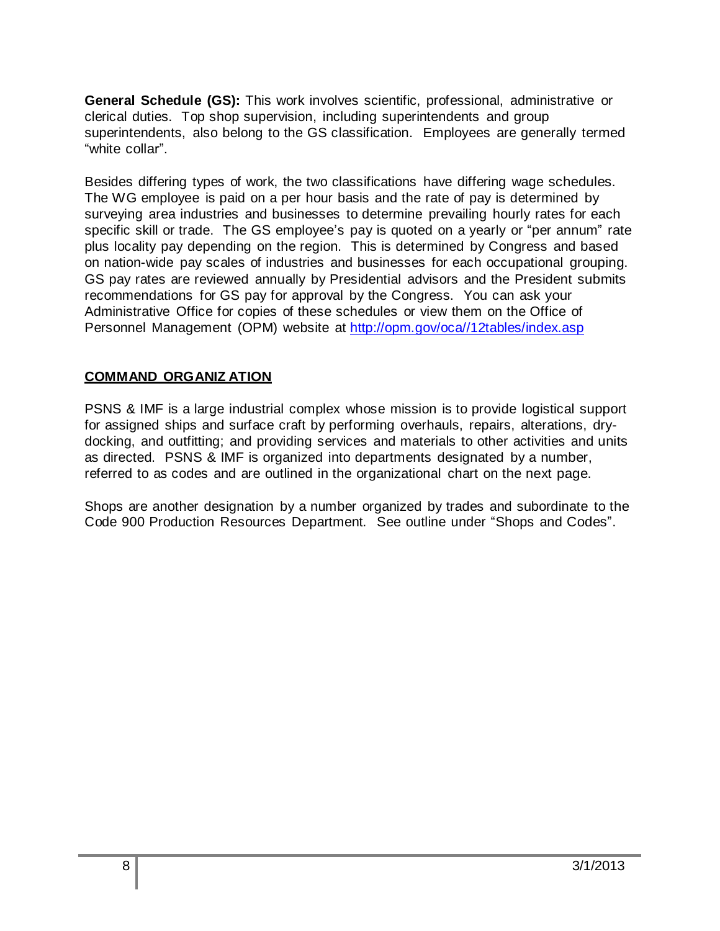**General Schedule (GS):** This work involves scientific, professional, administrative or clerical duties. Top shop supervision, including superintendents and group superintendents, also belong to the GS classification. Employees are generally termed "white collar".

Besides differing types of work, the two classifications have differing wage schedules. The WG employee is paid on a per hour basis and the rate of pay is determined by surveying area industries and businesses to determine prevailing hourly rates for each specific skill or trade. The GS employee's pay is quoted on a yearly or "per annum" rate plus locality pay depending on the region. This is determined by Congress and based on nation-wide pay scales of industries and businesses for each occupational grouping. GS pay rates are reviewed annually by Presidential advisors and the President submits recommendations for GS pay for approval by the Congress. You can ask your Administrative Office for copies of these schedules or view them on the Office of Personnel Management (OPM) website at [http://opm.gov/oca//12tables/index.asp](http://opm.gov/oca/12tables/index.asp)

## **COMMAND ORGANIZ ATION**

PSNS & IMF is a large industrial complex whose mission is to provide logistical support for assigned ships and surface craft by performing overhauls, repairs, alterations, drydocking, and outfitting; and providing services and materials to other activities and units as directed. PSNS & IMF is organized into departments designated by a number, referred to as codes and are outlined in the organizational chart on the next page.

Shops are another designation by a number organized by trades and subordinate to the Code 900 Production Resources Department. See outline under "Shops and Codes".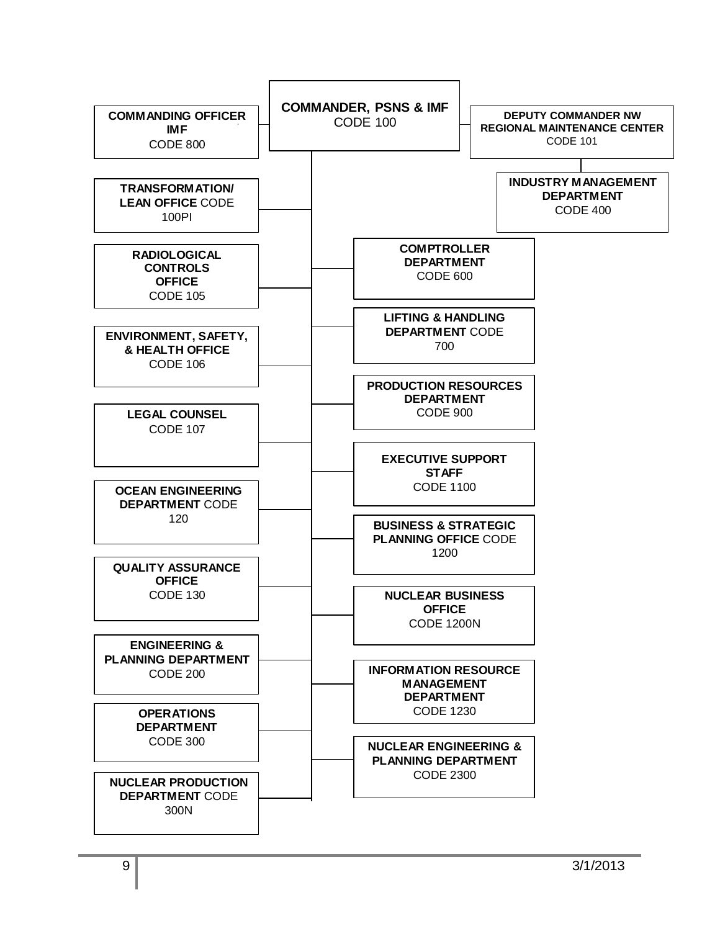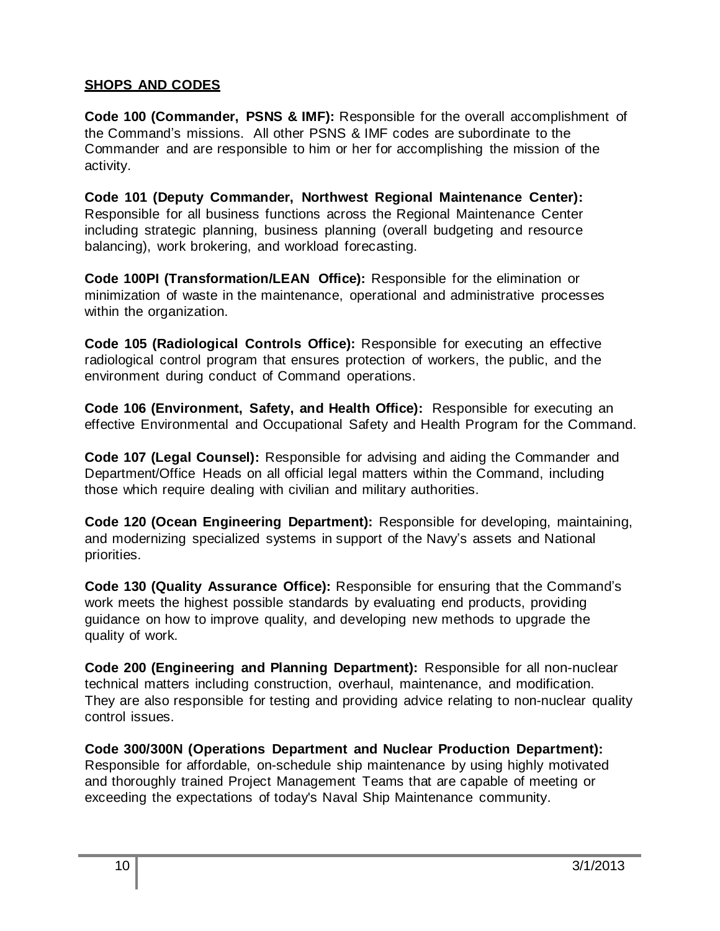## **SHOPS AND CODES**

**Code 100 (Commander, PSNS & IMF):** Responsible for the overall accomplishment of the Command's missions. All other PSNS & IMF codes are subordinate to the Commander and are responsible to him or her for accomplishing the mission of the activity.

**Code 101 (Deputy Commander, Northwest Regional Maintenance Center):**  Responsible for all business functions across the Regional Maintenance Center including strategic planning, business planning (overall budgeting and resource balancing), work brokering, and workload forecasting.

**Code 100PI (Transformation/LEAN Office):** Responsible for the elimination or minimization of waste in the maintenance, operational and administrative processes within the organization.

**Code 105 (Radiological Controls Office):** Responsible for executing an effective radiological control program that ensures protection of workers, the public, and the environment during conduct of Command operations.

**Code 106 (Environment, Safety, and Health Office):** Responsible for executing an effective Environmental and Occupational Safety and Health Program for the Command.

**Code 107 (Legal Counsel):** Responsible for advising and aiding the Commander and Department/Office Heads on all official legal matters within the Command, including those which require dealing with civilian and military authorities.

**Code 120 (Ocean Engineering Department):** Responsible for developing, maintaining, and modernizing specialized systems in support of the Navy's assets and National priorities.

**Code 130 (Quality Assurance Office):** Responsible for ensuring that the Command's work meets the highest possible standards by evaluating end products, providing guidance on how to improve quality, and developing new methods to upgrade the quality of work.

**Code 200 (Engineering and Planning Department):** Responsible for all non-nuclear technical matters including construction, overhaul, maintenance, and modification. They are also responsible for testing and providing advice relating to non-nuclear quality control issues.

**Code 300/300N (Operations Department and Nuclear Production Department):**  Responsible for affordable, on-schedule ship maintenance by using highly motivated and thoroughly trained Project Management Teams that are capable of meeting or exceeding the expectations of today's Naval Ship Maintenance community.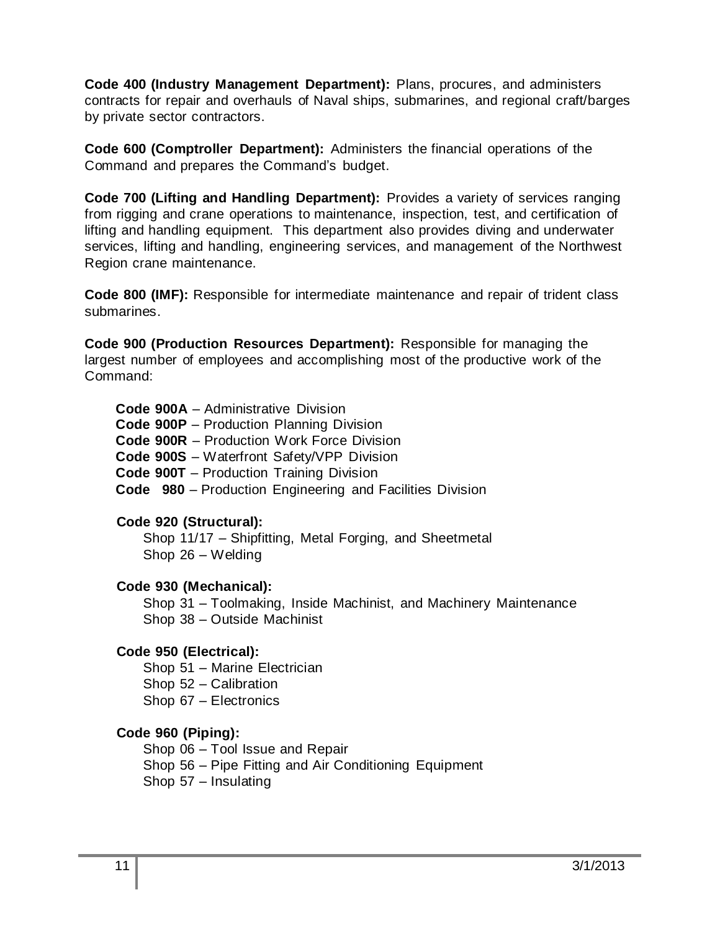**Code 400 (Industry Management Department):** Plans, procures, and administers contracts for repair and overhauls of Naval ships, submarines, and regional craft/barges by private sector contractors.

**Code 600 (Comptroller Department):** Administers the financial operations of the Command and prepares the Command's budget.

**Code 700 (Lifting and Handling Department):** Provides a variety of services ranging from rigging and crane operations to maintenance, inspection, test, and certification of lifting and handling equipment. This department also provides diving and underwater services, lifting and handling, engineering services, and management of the Northwest Region crane maintenance.

**Code 800 (IMF):** Responsible for intermediate maintenance and repair of trident class submarines.

**Code 900 (Production Resources Department):** Responsible for managing the largest number of employees and accomplishing most of the productive work of the Command:

**Code 900A** – Administrative Division **Code 900P** – Production Planning Division **Code 900R** – Production Work Force Division **Code 900S** – Waterfront Safety/VPP Division **Code 900T** – Production Training Division **Code 980** – Production Engineering and Facilities Division

## **Code 920 (Structural):**

Shop 11/17 – Shipfitting, Metal Forging, and Sheetmetal Shop 26 – Welding

## **Code 930 (Mechanical):**

Shop 31 – Toolmaking, Inside Machinist, and Machinery Maintenance Shop 38 – Outside Machinist

## **Code 950 (Electrical):**

Shop 51 – Marine Electrician

Shop 52 – Calibration

Shop 67 – Electronics

## **Code 960 (Piping):**

Shop 06 – Tool Issue and Repair

Shop 56 – Pipe Fitting and Air Conditioning Equipment

Shop 57 – Insulating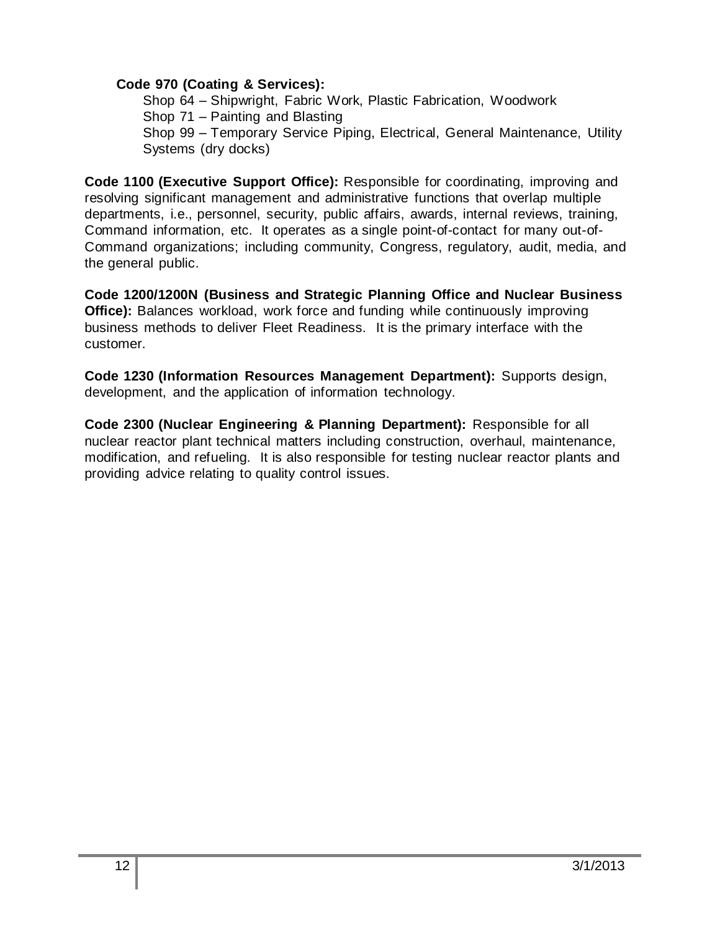#### **Code 970 (Coating & Services):**

Shop 64 – Shipwright, Fabric Work, Plastic Fabrication, Woodwork Shop 71 – Painting and Blasting Shop 99 – Temporary Service Piping, Electrical, General Maintenance, Utility Systems (dry docks)

**Code 1100 (Executive Support Office):** Responsible for coordinating, improving and resolving significant management and administrative functions that overlap multiple departments, i.e., personnel, security, public affairs, awards, internal reviews, training, Command information, etc. It operates as a single point-of-contact for many out-of-Command organizations; including community, Congress, regulatory, audit, media, and the general public.

**Code 1200/1200N (Business and Strategic Planning Office and Nuclear Business Office):** Balances workload, work force and funding while continuously improving business methods to deliver Fleet Readiness. It is the primary interface with the customer.

**Code 1230 (Information Resources Management Department):** Supports design, development, and the application of information technology.

**Code 2300 (Nuclear Engineering & Planning Department):** Responsible for all nuclear reactor plant technical matters including construction, overhaul, maintenance, modification, and refueling. It is also responsible for testing nuclear reactor plants and providing advice relating to quality control issues.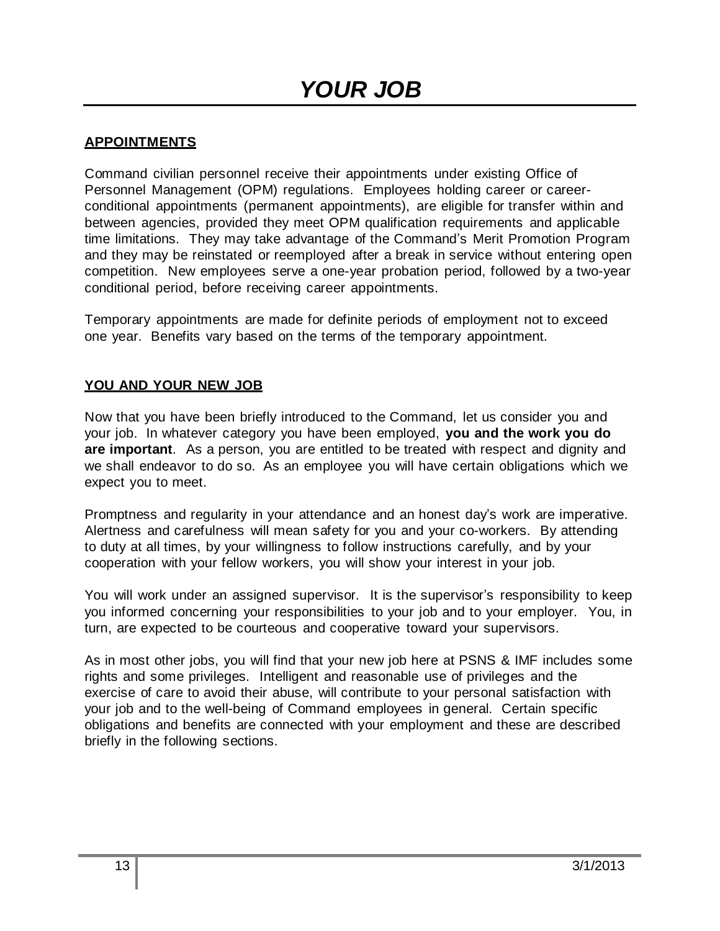## **APPOINTMENTS**

Command civilian personnel receive their appointments under existing Office of Personnel Management (OPM) regulations. Employees holding career or careerconditional appointments (permanent appointments), are eligible for transfer within and between agencies, provided they meet OPM qualification requirements and applicable time limitations. They may take advantage of the Command's Merit Promotion Program and they may be reinstated or reemployed after a break in service without entering open competition. New employees serve a one-year probation period, followed by a two-year conditional period, before receiving career appointments.

Temporary appointments are made for definite periods of employment not to exceed one year. Benefits vary based on the terms of the temporary appointment.

#### **YOU AND YOUR NEW JOB**

Now that you have been briefly introduced to the Command, let us consider you and your job. In whatever category you have been employed, **you and the work you do are important**. As a person, you are entitled to be treated with respect and dignity and we shall endeavor to do so. As an employee you will have certain obligations which we expect you to meet.

Promptness and regularity in your attendance and an honest day's work are imperative. Alertness and carefulness will mean safety for you and your co-workers. By attending to duty at all times, by your willingness to follow instructions carefully, and by your cooperation with your fellow workers, you will show your interest in your job.

You will work under an assigned supervisor. It is the supervisor's responsibility to keep you informed concerning your responsibilities to your job and to your employer. You, in turn, are expected to be courteous and cooperative toward your supervisors.

As in most other jobs, you will find that your new job here at PSNS & IMF includes some rights and some privileges. Intelligent and reasonable use of privileges and the exercise of care to avoid their abuse, will contribute to your personal satisfaction with your job and to the well-being of Command employees in general. Certain specific obligations and benefits are connected with your employment and these are described briefly in the following sections.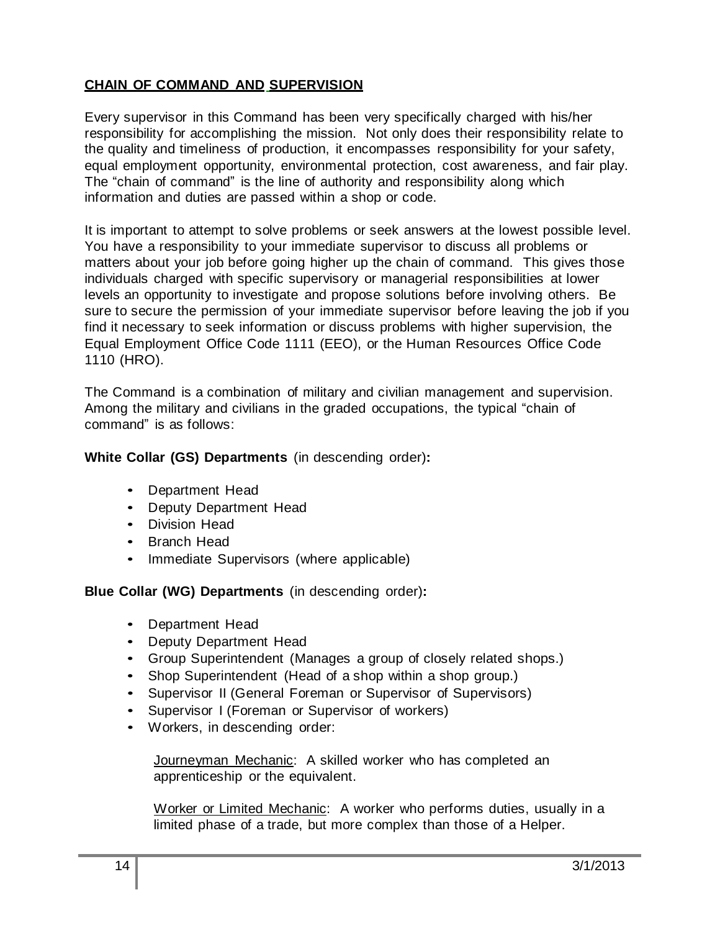## **CHAIN OF COMMAND AND SUPERVISION**

Every supervisor in this Command has been very specifically charged with his/her responsibility for accomplishing the mission. Not only does their responsibility relate to the quality and timeliness of production, it encompasses responsibility for your safety, equal employment opportunity, environmental protection, cost awareness, and fair play. The "chain of command" is the line of authority and responsibility along which information and duties are passed within a shop or code.

It is important to attempt to solve problems or seek answers at the lowest possible level. You have a responsibility to your immediate supervisor to discuss all problems or matters about your job before going higher up the chain of command. This gives those individuals charged with specific supervisory or managerial responsibilities at lower levels an opportunity to investigate and propose solutions before involving others. Be sure to secure the permission of your immediate supervisor before leaving the job if you find it necessary to seek information or discuss problems with higher supervision, the Equal Employment Office Code 1111 (EEO), or the Human Resources Office Code 1110 (HRO).

The Command is a combination of military and civilian management and supervision. Among the military and civilians in the graded occupations, the typical "chain of command" is as follows:

#### **White Collar (GS) Departments** (in descending order)**:**

- Department Head
- Deputy Department Head
- Division Head
- Branch Head
- Immediate Supervisors (where applicable)

**Blue Collar (WG) Departments** (in descending order)**:**

- Department Head
- Deputy Department Head
- Group Superintendent (Manages a group of closely related shops.)
- Shop Superintendent (Head of a shop within a shop group.)
- Supervisor II (General Foreman or Supervisor of Supervisors)
- Supervisor I (Foreman or Supervisor of workers)
- Workers, in descending order:

Journeyman Mechanic: A skilled worker who has completed an apprenticeship or the equivalent.

Worker or Limited Mechanic: A worker who performs duties, usually in a limited phase of a trade, but more complex than those of a Helper.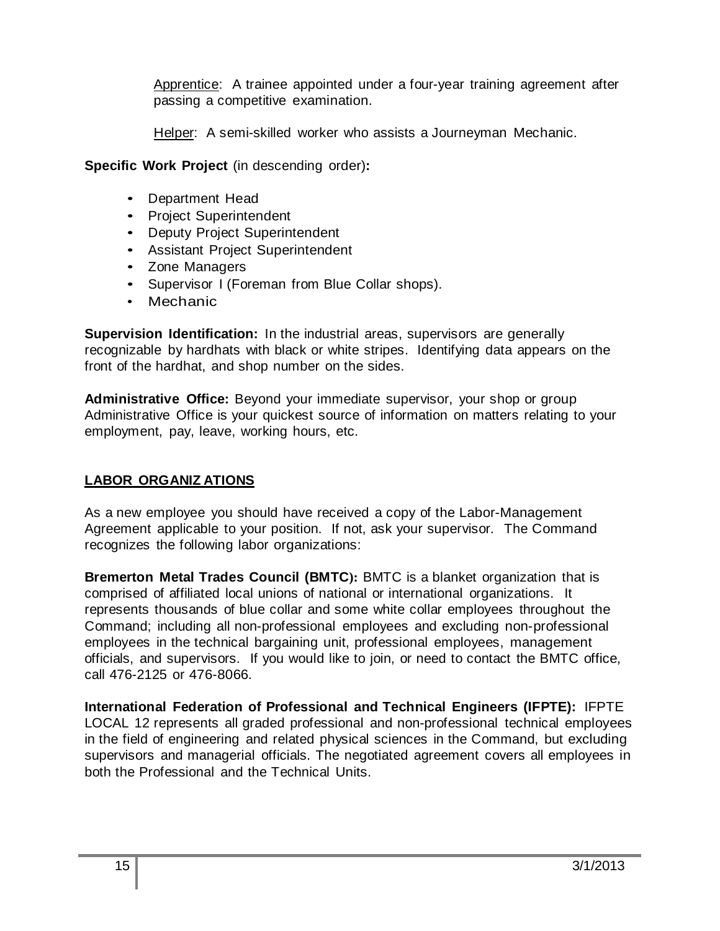Apprentice: A trainee appointed under a four-year training agreement after passing a competitive examination.

Helper: A semi-skilled worker who assists a Journeyman Mechanic.

**Specific Work Project** (in descending order)**:**

- Department Head
- Project Superintendent
- Deputy Project Superintendent
- Assistant Project Superintendent
- Zone Managers
- Supervisor I (Foreman from Blue Collar shops).
- Mechanic

**Supervision Identification:** In the industrial areas, supervisors are generally recognizable by hardhats with black or white stripes. Identifying data appears on the front of the hardhat, and shop number on the sides.

**Administrative Office:** Beyond your immediate supervisor, your shop or group Administrative Office is your quickest source of information on matters relating to your employment, pay, leave, working hours, etc.

## **LABOR ORGANIZ ATIONS**

As a new employee you should have received a copy of the Labor-Management Agreement applicable to your position. If not, ask your supervisor. The Command recognizes the following labor organizations:

**Bremerton Metal Trades Council (BMTC):** BMTC is a blanket organization that is comprised of affiliated local unions of national or international organizations. It represents thousands of blue collar and some white collar employees throughout the Command; including all non-professional employees and excluding non-professional employees in the technical bargaining unit, professional employees, management officials, and supervisors. If you would like to join, or need to contact the BMTC office, call 476-2125 or 476-8066.

**International Federation of Professional and Technical Engineers (IFPTE):** IFPTE LOCAL 12 represents all graded professional and non-professional technical employees in the field of engineering and related physical sciences in the Command, but excluding supervisors and managerial officials. The negotiated agreement covers all employees in both the Professional and the Technical Units.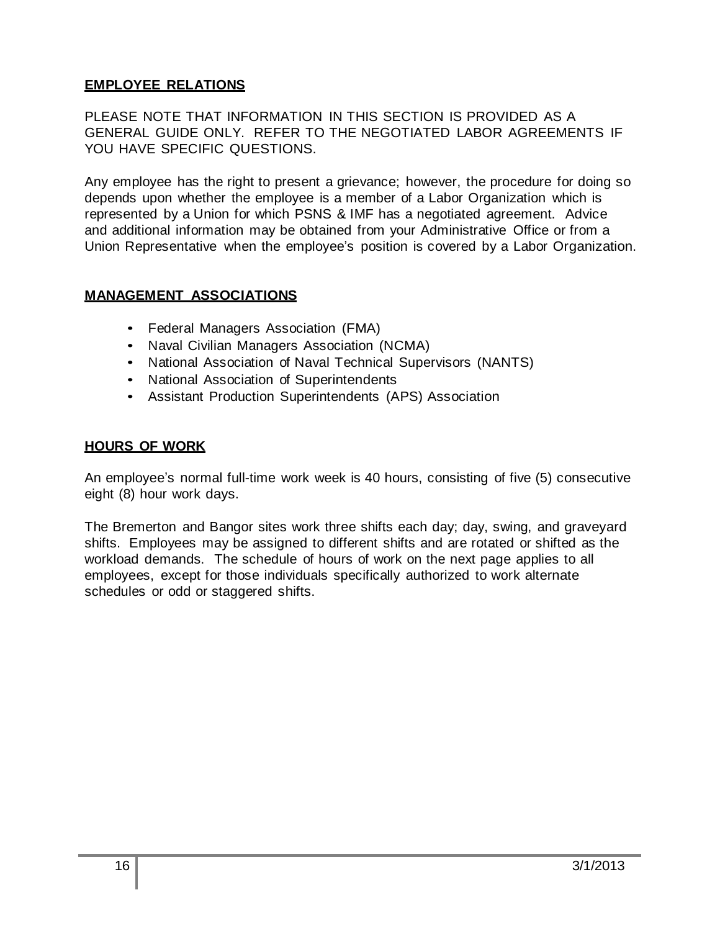## **EMPLOYEE RELATIONS**

PLEASE NOTE THAT INFORMATION IN THIS SECTION IS PROVIDED AS A GENERAL GUIDE ONLY. REFER TO THE NEGOTIATED LABOR AGREEMENTS IF YOU HAVE SPECIFIC QUESTIONS.

Any employee has the right to present a grievance; however, the procedure for doing so depends upon whether the employee is a member of a Labor Organization which is represented by a Union for which PSNS & IMF has a negotiated agreement. Advice and additional information may be obtained from your Administrative Office or from a Union Representative when the employee's position is covered by a Labor Organization.

## **MANAGEMENT ASSOCIATIONS**

- Federal Managers Association (FMA)
- Naval Civilian Managers Association (NCMA)
- National Association of Naval Technical Supervisors (NANTS)
- National Association of Superintendents
- Assistant Production Superintendents (APS) Association

#### **HOURS OF WORK**

An employee's normal full-time work week is 40 hours, consisting of five (5) consecutive eight (8) hour work days.

The Bremerton and Bangor sites work three shifts each day; day, swing, and graveyard shifts. Employees may be assigned to different shifts and are rotated or shifted as the workload demands. The schedule of hours of work on the next page applies to all employees, except for those individuals specifically authorized to work alternate schedules or odd or staggered shifts.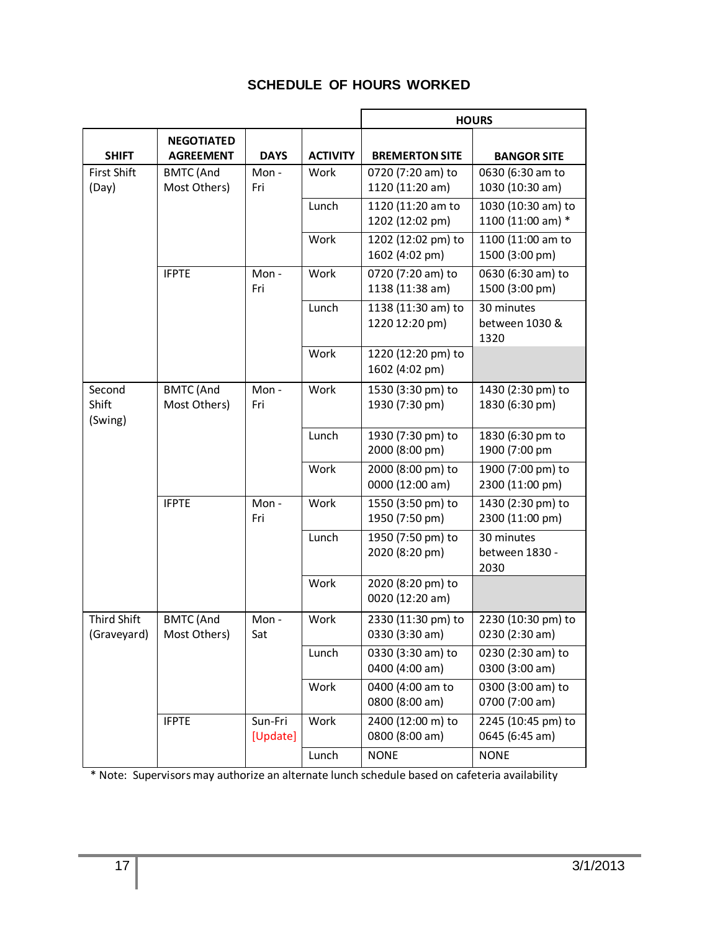## **SCHEDULE OF HOURS WORKED**

|                                   |                                       |                     |                 | <b>HOURS</b>                         |                                         |
|-----------------------------------|---------------------------------------|---------------------|-----------------|--------------------------------------|-----------------------------------------|
| <b>SHIFT</b>                      | <b>NEGOTIATED</b><br><b>AGREEMENT</b> | <b>DAYS</b>         | <b>ACTIVITY</b> | <b>BREMERTON SITE</b>                | <b>BANGOR SITE</b>                      |
| <b>First Shift</b><br>(Day)       | <b>BMTC</b> (And<br>Most Others)      | Mon-<br>Fri         | Work            | 0720 (7:20 am) to<br>1120 (11:20 am) | 0630 (6:30 am to<br>1030 (10:30 am)     |
|                                   |                                       |                     | Lunch           | 1120 (11:20 am to<br>1202 (12:02 pm) | 1030 (10:30 am) to<br>1100 (11:00 am) * |
|                                   |                                       |                     | Work            | 1202 (12:02 pm) to<br>1602 (4:02 pm) | 1100 (11:00 am to<br>1500 (3:00 pm)     |
|                                   | <b>IFPTE</b>                          | Mon-<br>Fri         | Work            | 0720 (7:20 am) to<br>1138 (11:38 am) | 0630 (6:30 am) to<br>1500 (3:00 pm)     |
|                                   |                                       |                     | Lunch           | 1138 (11:30 am) to<br>1220 12:20 pm) | 30 minutes<br>between 1030 &<br>1320    |
|                                   |                                       |                     | Work            | 1220 (12:20 pm) to<br>1602 (4:02 pm) |                                         |
| Second<br>Shift<br>(Swing)        | <b>BMTC</b> (And<br>Most Others)      | Mon-<br>Fri         | Work            | 1530 (3:30 pm) to<br>1930 (7:30 pm)  | 1430 (2:30 pm) to<br>1830 (6:30 pm)     |
|                                   |                                       |                     | Lunch           | 1930 (7:30 pm) to<br>2000 (8:00 pm)  | 1830 (6:30 pm to<br>1900 (7:00 pm       |
|                                   |                                       |                     | Work            | 2000 (8:00 pm) to<br>0000 (12:00 am) | 1900 (7:00 pm) to<br>2300 (11:00 pm)    |
|                                   | <b>IFPTE</b>                          | Mon-<br>Fri         | Work            | 1550 (3:50 pm) to<br>1950 (7:50 pm)  | 1430 (2:30 pm) to<br>2300 (11:00 pm)    |
|                                   |                                       |                     | Lunch           | 1950 (7:50 pm) to<br>2020 (8:20 pm)  | 30 minutes<br>between 1830 -<br>2030    |
|                                   |                                       |                     | Work            | 2020 (8:20 pm) to<br>0020 (12:20 am) |                                         |
| <b>Third Shift</b><br>(Graveyard) | <b>BMTC</b> (And<br>Most Others)      | Mon-<br>Sat         | Work            | 2330 (11:30 pm) to<br>0330 (3:30 am) | 2230 (10:30 pm) to<br>0230 (2:30 am)    |
|                                   |                                       |                     | Lunch           | 0330 (3:30 am) to<br>0400 (4:00 am)  | 0230 (2:30 am) to<br>0300 (3:00 am)     |
|                                   |                                       |                     | Work            | 0400 (4:00 am to<br>0800 (8:00 am)   | 0300 (3:00 am) to<br>0700 (7:00 am)     |
|                                   | <b>IFPTE</b>                          | Sun-Fri<br>[Update] | Work            | 2400 (12:00 m) to<br>0800 (8:00 am)  | 2245 (10:45 pm) to<br>0645 (6:45 am)    |
|                                   |                                       |                     | Lunch           | <b>NONE</b>                          | <b>NONE</b>                             |

\* Note: Supervisors may authorize an alternate lunch schedule based on cafeteria availability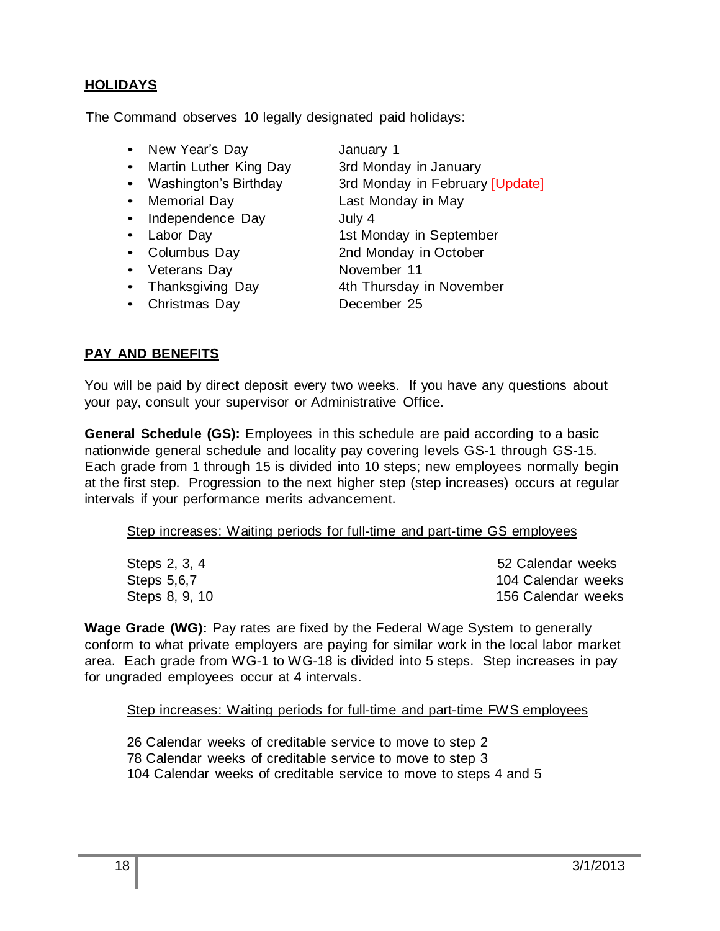## **HOLIDAYS**

The Command observes 10 legally designated paid holidays:

- New Year's Day **January 1**
- Martin Luther King Day 3rd Monday in January
- Washington's Birthday 3rd Monday in February [Update]
- Memorial Day **Last Monday in May**
- Independence Day July 4
- 
- 
- 
- Thanksgiving Day 4th Thursday in November
- Christmas Day December 25

- 
- 
- 

## • Labor Day 1st Monday in September

- Columbus Day 2nd Monday in October
- Veterans Day November 11
	-
	-

## **PAY AND BENEFITS**

You will be paid by direct deposit every two weeks. If you have any questions about your pay, consult your supervisor or Administrative Office.

**General Schedule (GS):** Employees in this schedule are paid according to a basic nationwide general schedule and locality pay covering levels GS-1 through GS-15. Each grade from 1 through 15 is divided into 10 steps; new employees normally begin at the first step. Progression to the next higher step (step increases) occurs at regular intervals if your performance merits advancement.

#### Step increases: Waiting periods for full-time and part-time GS employees

| Steps 2, 3, 4  | 52 Calendar weeks  |
|----------------|--------------------|
| Steps 5,6,7    | 104 Calendar weeks |
| Steps 8, 9, 10 | 156 Calendar weeks |

**Wage Grade (WG):** Pay rates are fixed by the Federal Wage System to generally conform to what private employers are paying for similar work in the local labor market area. Each grade from WG-1 to WG-18 is divided into 5 steps. Step increases in pay for ungraded employees occur at 4 intervals.

Step increases: Waiting periods for full-time and part-time FWS employees

26 Calendar weeks of creditable service to move to step 2 78 Calendar weeks of creditable service to move to step 3 104 Calendar weeks of creditable service to move to steps 4 and 5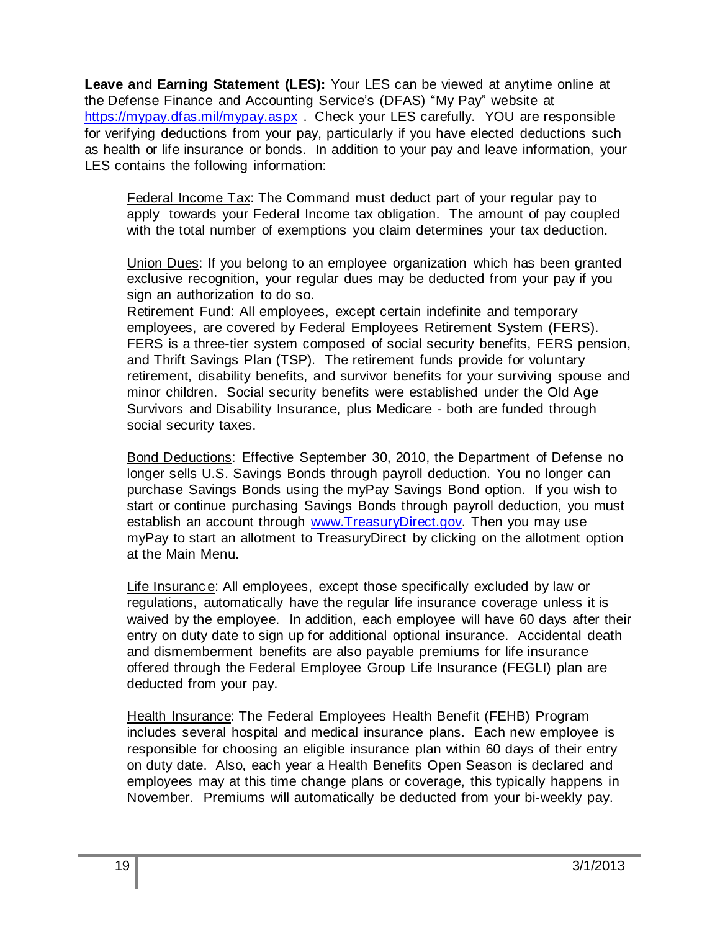**Leave and Earning Statement (LES):** Your LES can be viewed at anytime online at the Defense Finance and Accounting Service's (DFAS) "My Pay" website at <https://mypay.dfas.mil/mypay.aspx> . Check your LES carefully. YOU are responsible for verifying deductions from your pay, particularly if you have elected deductions such as health or life insurance or bonds. In addition to your pay and leave information, your LES contains the following information:

Federal Income Tax: The Command must deduct part of your regular pay to apply towards your Federal Income tax obligation. The amount of pay coupled with the total number of exemptions you claim determines your tax deduction.

Union Dues: If you belong to an employee organization which has been granted exclusive recognition, your regular dues may be deducted from your pay if you sign an authorization to do so.

Retirement Fund: All employees, except certain indefinite and temporary employees, are covered by Federal Employees Retirement System (FERS). FERS is a three-tier system composed of social security benefits, FERS pension, and Thrift Savings Plan (TSP). The retirement funds provide for voluntary retirement, disability benefits, and survivor benefits for your surviving spouse and minor children. Social security benefits were established under the Old Age Survivors and Disability Insurance, plus Medicare - both are funded through social security taxes.

Bond Deductions: Effective September 30, 2010, the Department of Defense no longer sells U.S. Savings Bonds through payroll deduction. You no longer can purchase Savings Bonds using the myPay Savings Bond option. If you wish to start or continue purchasing Savings Bonds through payroll deduction, you must establish an account through www. Treasury Direct.gov. Then you may use myPay to start an allotment to TreasuryDirect by clicking on the allotment option at the Main Menu.

Life Insuranc e: All employees, except those specifically excluded by law or regulations, automatically have the regular life insurance coverage unless it is waived by the employee. In addition, each employee will have 60 days after their entry on duty date to sign up for additional optional insurance. Accidental death and dismemberment benefits are also payable premiums for life insurance offered through the Federal Employee Group Life Insurance (FEGLI) plan are deducted from your pay.

Health Insurance: The Federal Employees Health Benefit (FEHB) Program includes several hospital and medical insurance plans. Each new employee is responsible for choosing an eligible insurance plan within 60 days of their entry on duty date. Also, each year a Health Benefits Open Season is declared and employees may at this time change plans or coverage, this typically happens in November. Premiums will automatically be deducted from your bi-weekly pay.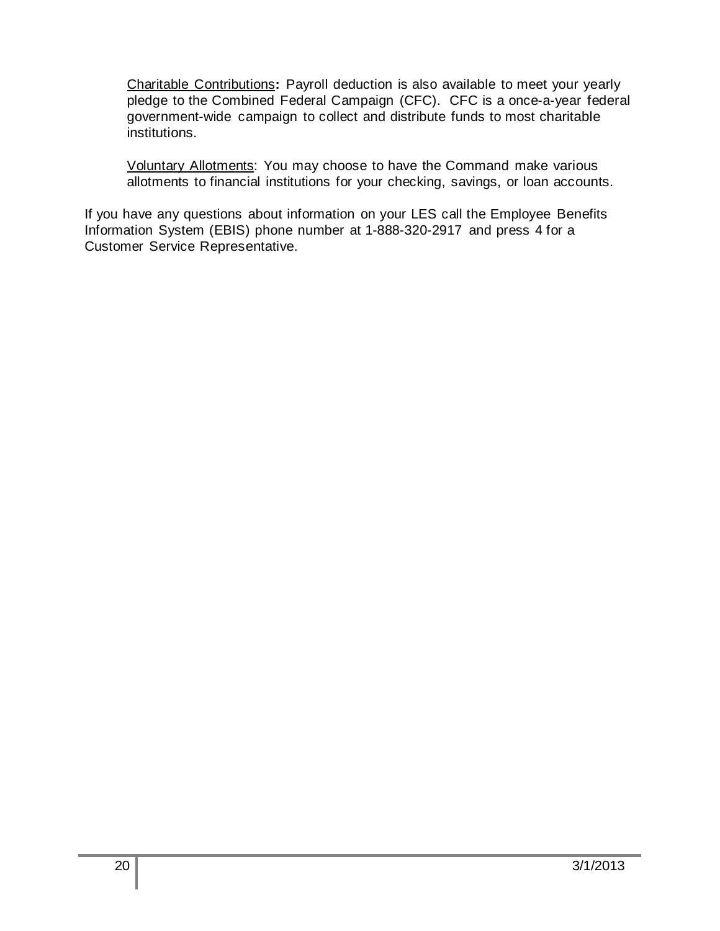Charitable Contributions**:** Payroll deduction is also available to meet your yearly pledge to the Combined Federal Campaign (CFC). CFC is a once-a-year federal government-wide campaign to collect and distribute funds to most charitable institutions.

Voluntary Allotments: You may choose to have the Command make various allotments to financial institutions for your checking, savings, or loan accounts.

If you have any questions about information on your LES call the Employee Benefits Information System (EBIS) phone number at 1-888-320-2917 and press 4 for a Customer Service Representative.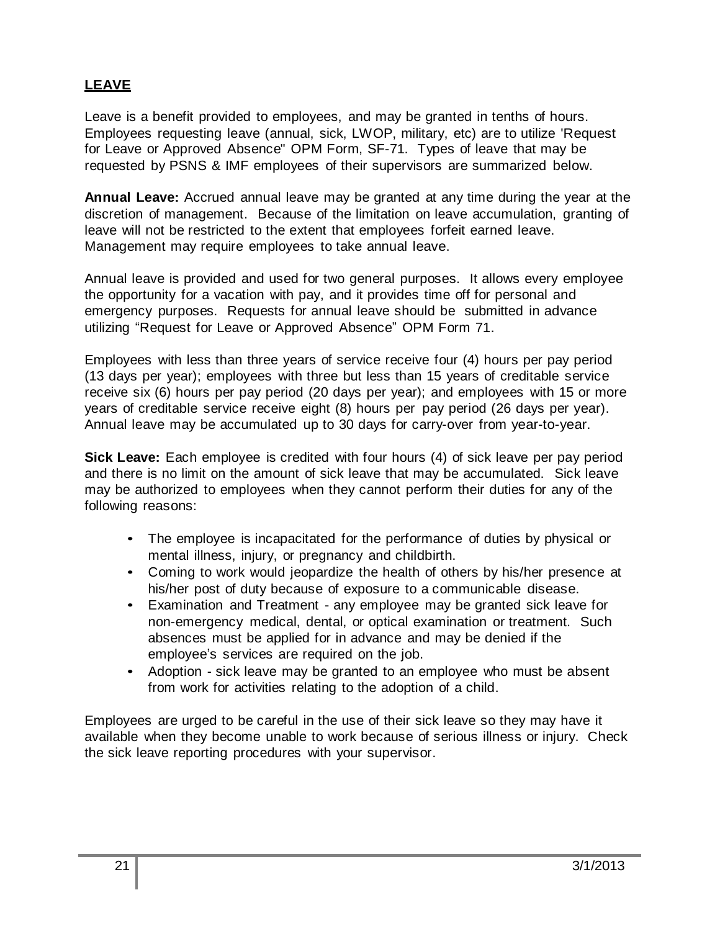## **LEAVE**

Leave is a benefit provided to employees, and may be granted in tenths of hours. Employees requesting leave (annual, sick, LWOP, military, etc) are to utilize 'Request for Leave or Approved Absence" OPM Form, SF-71. Types of leave that may be requested by PSNS & IMF employees of their supervisors are summarized below.

**Annual Leave:** Accrued annual leave may be granted at any time during the year at the discretion of management. Because of the limitation on leave accumulation, granting of leave will not be restricted to the extent that employees forfeit earned leave. Management may require employees to take annual leave.

Annual leave is provided and used for two general purposes. It allows every employee the opportunity for a vacation with pay, and it provides time off for personal and emergency purposes. Requests for annual leave should be submitted in advance utilizing "Request for Leave or Approved Absence" OPM Form 71.

Employees with less than three years of service receive four (4) hours per pay period (13 days per year); employees with three but less than 15 years of creditable service receive six (6) hours per pay period (20 days per year); and employees with 15 or more years of creditable service receive eight (8) hours per pay period (26 days per year). Annual leave may be accumulated up to 30 days for carry-over from year-to-year.

**Sick Leave:** Each employee is credited with four hours (4) of sick leave per pay period and there is no limit on the amount of sick leave that may be accumulated. Sick leave may be authorized to employees when they cannot perform their duties for any of the following reasons:

- The employee is incapacitated for the performance of duties by physical or mental illness, injury, or pregnancy and childbirth.
- Coming to work would jeopardize the health of others by his/her presence at his/her post of duty because of exposure to a communicable disease.
- Examination and Treatment any employee may be granted sick leave for non-emergency medical, dental, or optical examination or treatment. Such absences must be applied for in advance and may be denied if the employee's services are required on the job.
- Adoption sick leave may be granted to an employee who must be absent from work for activities relating to the adoption of a child.

Employees are urged to be careful in the use of their sick leave so they may have it available when they become unable to work because of serious illness or injury. Check the sick leave reporting procedures with your supervisor.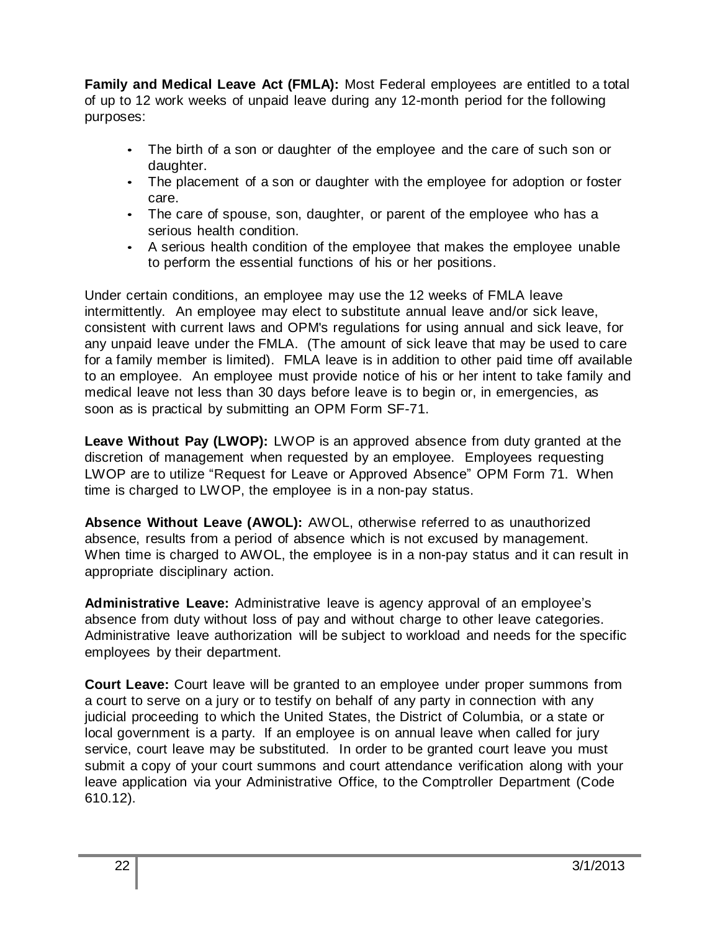**Family and Medical Leave Act (FMLA):** Most Federal employees are entitled to a total of up to 12 work weeks of unpaid leave during any 12-month period for the following purposes:

- The birth of a son or daughter of the employee and the care of such son or daughter.
- The placement of a son or daughter with the employee for adoption or foster care.
- The care of spouse, son, daughter, or parent of the employee who has a serious health condition.
- A serious health condition of the employee that makes the employee unable to perform the essential functions of his or her positions.

Under certain conditions, an employee may use the 12 weeks of FMLA leave intermittently. An employee may elect to substitute annual leave and/or sick leave, consistent with current laws and OPM's regulations for using annual and sick leave, for any unpaid leave under the FMLA. (The amount of sick leave that may be used to care for a family member is limited). FMLA leave is in addition to other paid time off available to an employee. An employee must provide notice of his or her intent to take family and medical leave not less than 30 days before leave is to begin or, in emergencies, as soon as is practical by submitting an OPM Form SF-71.

**Leave Without Pay (LWOP):** LWOP is an approved absence from duty granted at the discretion of management when requested by an employee. Employees requesting LWOP are to utilize "Request for Leave or Approved Absence" OPM Form 71. When time is charged to LWOP, the employee is in a non-pay status.

**Absence Without Leave (AWOL):** AWOL, otherwise referred to as unauthorized absence, results from a period of absence which is not excused by management. When time is charged to AWOL, the employee is in a non-pay status and it can result in appropriate disciplinary action.

**Administrative Leave:** Administrative leave is agency approval of an employee's absence from duty without loss of pay and without charge to other leave categories. Administrative leave authorization will be subject to workload and needs for the specific employees by their department.

**Court Leave:** Court leave will be granted to an employee under proper summons from a court to serve on a jury or to testify on behalf of any party in connection with any judicial proceeding to which the United States, the District of Columbia, or a state or local government is a party. If an employee is on annual leave when called for jury service, court leave may be substituted. In order to be granted court leave you must submit a copy of your court summons and court attendance verification along with your leave application via your Administrative Office, to the Comptroller Department (Code 610.12).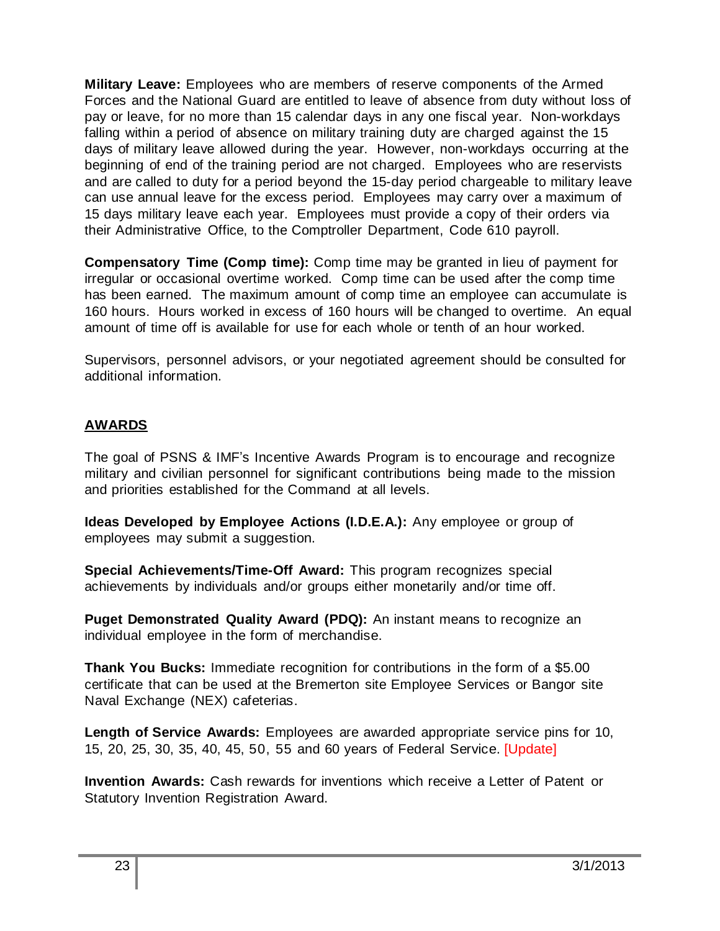**Military Leave:** Employees who are members of reserve components of the Armed Forces and the National Guard are entitled to leave of absence from duty without loss of pay or leave, for no more than 15 calendar days in any one fiscal year. Non-workdays falling within a period of absence on military training duty are charged against the 15 days of military leave allowed during the year. However, non-workdays occurring at the beginning of end of the training period are not charged. Employees who are reservists and are called to duty for a period beyond the 15-day period chargeable to military leave can use annual leave for the excess period. Employees may carry over a maximum of 15 days military leave each year. Employees must provide a copy of their orders via their Administrative Office, to the Comptroller Department, Code 610 payroll.

**Compensatory Time (Comp time):** Comp time may be granted in lieu of payment for irregular or occasional overtime worked. Comp time can be used after the comp time has been earned. The maximum amount of comp time an employee can accumulate is 160 hours. Hours worked in excess of 160 hours will be changed to overtime. An equal amount of time off is available for use for each whole or tenth of an hour worked.

Supervisors, personnel advisors, or your negotiated agreement should be consulted for additional information.

## **AWARDS**

The goal of PSNS & IMF's Incentive Awards Program is to encourage and recognize military and civilian personnel for significant contributions being made to the mission and priorities established for the Command at all levels.

**Ideas Developed by Employee Actions (I.D.E.A.):** Any employee or group of employees may submit a suggestion.

**Special Achievements/Time-Off Award:** This program recognizes special achievements by individuals and/or groups either monetarily and/or time off.

**Puget Demonstrated Quality Award (PDQ):** An instant means to recognize an individual employee in the form of merchandise.

**Thank You Bucks:** Immediate recognition for contributions in the form of a \$5.00 certificate that can be used at the Bremerton site Employee Services or Bangor site Naval Exchange (NEX) cafeterias.

**Length of Service Awards:** Employees are awarded appropriate service pins for 10, 15, 20, 25, 30, 35, 40, 45, 50, 55 and 60 years of Federal Service. [Update]

**Invention Awards:** Cash rewards for inventions which receive a Letter of Patent or Statutory Invention Registration Award.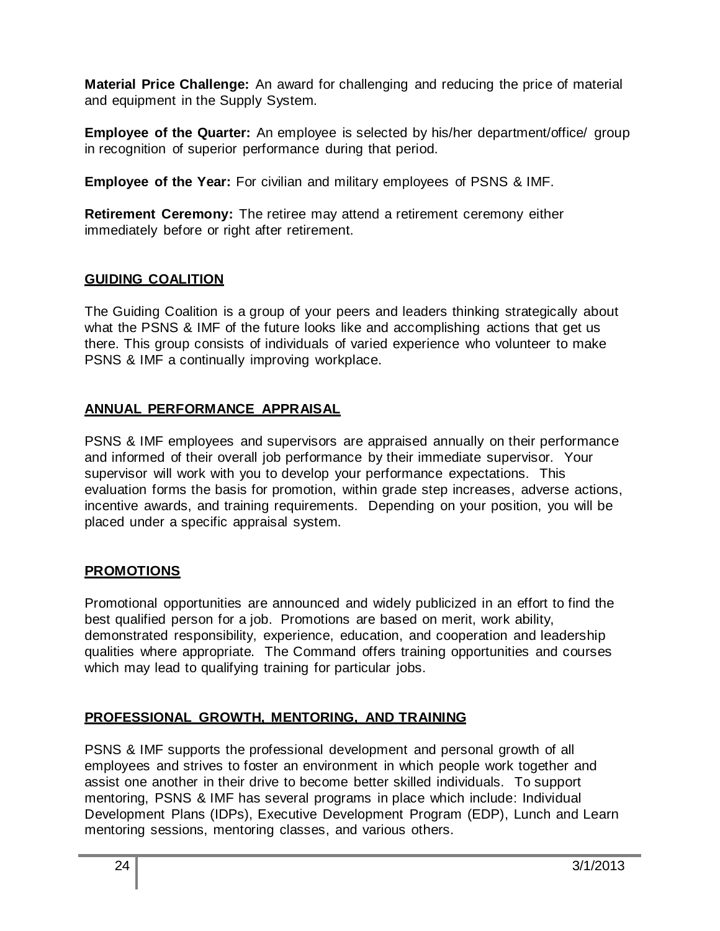**Material Price Challenge:** An award for challenging and reducing the price of material and equipment in the Supply System.

**Employee of the Quarter:** An employee is selected by his/her department/office/ group in recognition of superior performance during that period.

**Employee of the Year:** For civilian and military employees of PSNS & IMF.

**Retirement Ceremony:** The retiree may attend a retirement ceremony either immediately before or right after retirement.

## **GUIDING COALITION**

The Guiding Coalition is a group of your peers and leaders thinking strategically about what the PSNS & IMF of the future looks like and accomplishing actions that get us there. This group consists of individuals of varied experience who volunteer to make PSNS & IMF a continually improving workplace.

## **ANNUAL PERFORMANCE APPRAISAL**

PSNS & IMF employees and supervisors are appraised annually on their performance and informed of their overall job performance by their immediate supervisor. Your supervisor will work with you to develop your performance expectations. This evaluation forms the basis for promotion, within grade step increases, adverse actions, incentive awards, and training requirements. Depending on your position, you will be placed under a specific appraisal system.

## **PROMOTIONS**

Promotional opportunities are announced and widely publicized in an effort to find the best qualified person for a job. Promotions are based on merit, work ability, demonstrated responsibility, experience, education, and cooperation and leadership qualities where appropriate. The Command offers training opportunities and courses which may lead to qualifying training for particular jobs.

## **PROFESSIONAL GROWTH, MENTORING, AND TRAINING**

PSNS & IMF supports the professional development and personal growth of all employees and strives to foster an environment in which people work together and assist one another in their drive to become better skilled individuals. To support mentoring, PSNS & IMF has several programs in place which include: Individual Development Plans (IDPs), Executive Development Program (EDP), Lunch and Learn mentoring sessions, mentoring classes, and various others.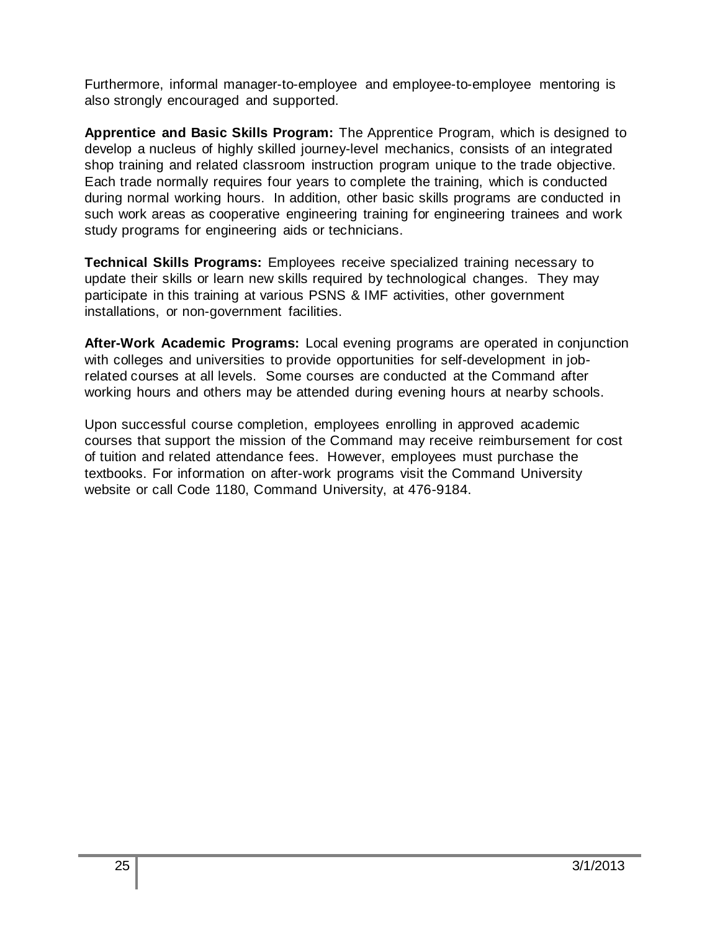Furthermore, informal manager-to-employee and employee-to-employee mentoring is also strongly encouraged and supported.

**Apprentice and Basic Skills Program:** The Apprentice Program, which is designed to develop a nucleus of highly skilled journey-level mechanics, consists of an integrated shop training and related classroom instruction program unique to the trade objective. Each trade normally requires four years to complete the training, which is conducted during normal working hours. In addition, other basic skills programs are conducted in such work areas as cooperative engineering training for engineering trainees and work study programs for engineering aids or technicians.

**Technical Skills Programs:** Employees receive specialized training necessary to update their skills or learn new skills required by technological changes. They may participate in this training at various PSNS & IMF activities, other government installations, or non-government facilities.

**After-Work Academic Programs:** Local evening programs are operated in conjunction with colleges and universities to provide opportunities for self-development in jobrelated courses at all levels. Some courses are conducted at the Command after working hours and others may be attended during evening hours at nearby schools.

Upon successful course completion, employees enrolling in approved academic courses that support the mission of the Command may receive reimbursement for cost of tuition and related attendance fees. However, employees must purchase the textbooks. For information on after-work programs visit the Command University website or call Code 1180, Command University, at 476-9184.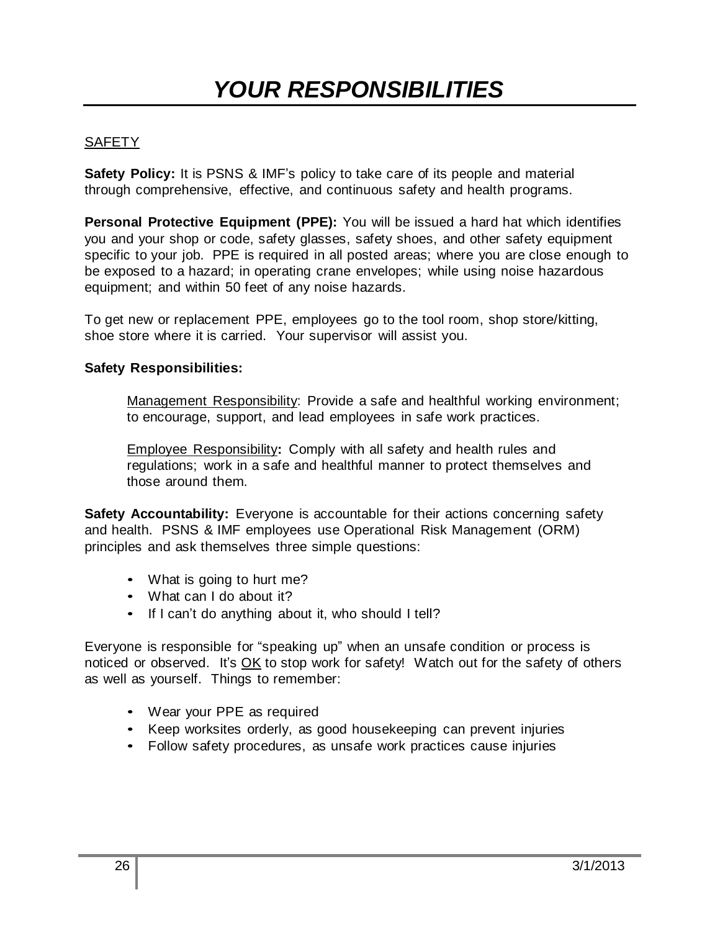## **SAFETY**

**Safety Policy:** It is PSNS & IMF's policy to take care of its people and material through comprehensive, effective, and continuous safety and health programs.

**Personal Protective Equipment (PPE):** You will be issued a hard hat which identifies you and your shop or code, safety glasses, safety shoes, and other safety equipment specific to your job. PPE is required in all posted areas; where you are close enough to be exposed to a hazard; in operating crane envelopes; while using noise hazardous equipment; and within 50 feet of any noise hazards.

To get new or replacement PPE, employees go to the tool room, shop store/kitting, shoe store where it is carried. Your supervisor will assist you.

## **Safety Responsibilities:**

Management Responsibility: Provide a safe and healthful working environment; to encourage, support, and lead employees in safe work practices.

Employee Responsibility**:** Comply with all safety and health rules and regulations; work in a safe and healthful manner to protect themselves and those around them.

**Safety Accountability:** Everyone is accountable for their actions concerning safety and health. PSNS & IMF employees use Operational Risk Management (ORM) principles and ask themselves three simple questions:

- What is going to hurt me?
- What can I do about it?
- If I can't do anything about it, who should I tell?

Everyone is responsible for "speaking up" when an unsafe condition or process is noticed or observed. It's OK to stop work for safety! Watch out for the safety of others as well as yourself. Things to remember:

- Wear your PPE as required
- Keep worksites orderly, as good housekeeping can prevent injuries
- Follow safety procedures, as unsafe work practices cause injuries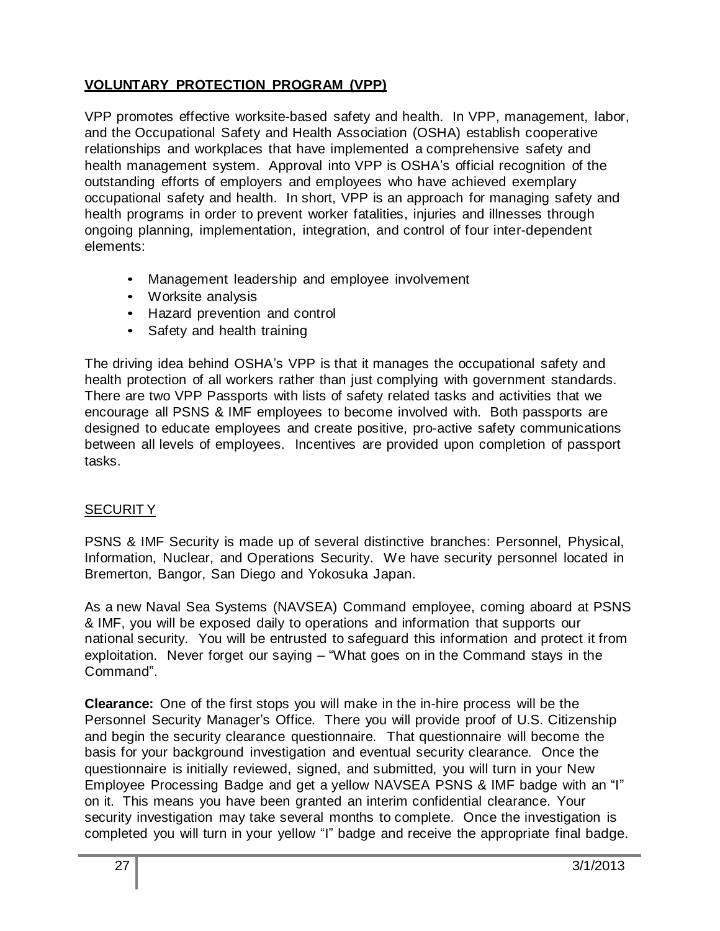## **VOLUNTARY PROTECTION PROGRAM (VPP)**

VPP promotes effective worksite-based safety and health. In VPP, management, labor, and the Occupational Safety and Health Association (OSHA) establish cooperative relationships and workplaces that have implemented a comprehensive safety and health management system. Approval into VPP is OSHA's official recognition of the outstanding efforts of employers and employees who have achieved exemplary occupational safety and health. In short, VPP is an approach for managing safety and health programs in order to prevent worker fatalities, injuries and illnesses through ongoing planning, implementation, integration, and control of four inter-dependent elements:

- Management leadership and employee involvement
- Worksite analysis
- Hazard prevention and control
- Safety and health training

The driving idea behind OSHA's VPP is that it manages the occupational safety and health protection of all workers rather than just complying with government standards. There are two VPP Passports with lists of safety related tasks and activities that we encourage all PSNS & IMF employees to become involved with. Both passports are designed to educate employees and create positive, pro-active safety communications between all levels of employees. Incentives are provided upon completion of passport tasks.

## SECURIT Y

PSNS & IMF Security is made up of several distinctive branches: Personnel, Physical, Information, Nuclear, and Operations Security. We have security personnel located in Bremerton, Bangor, San Diego and Yokosuka Japan.

As a new Naval Sea Systems (NAVSEA) Command employee, coming aboard at PSNS & IMF, you will be exposed daily to operations and information that supports our national security. You will be entrusted to safeguard this information and protect it from exploitation. Never forget our saying – "What goes on in the Command stays in the Command".

**Clearance:** One of the first stops you will make in the in-hire process will be the Personnel Security Manager's Office. There you will provide proof of U.S. Citizenship and begin the security clearance questionnaire. That questionnaire will become the basis for your background investigation and eventual security clearance. Once the questionnaire is initially reviewed, signed, and submitted, you will turn in your New Employee Processing Badge and get a yellow NAVSEA PSNS & IMF badge with an "I" on it. This means you have been granted an interim confidential clearance. Your security investigation may take several months to complete. Once the investigation is completed you will turn in your yellow "I" badge and receive the appropriate final badge.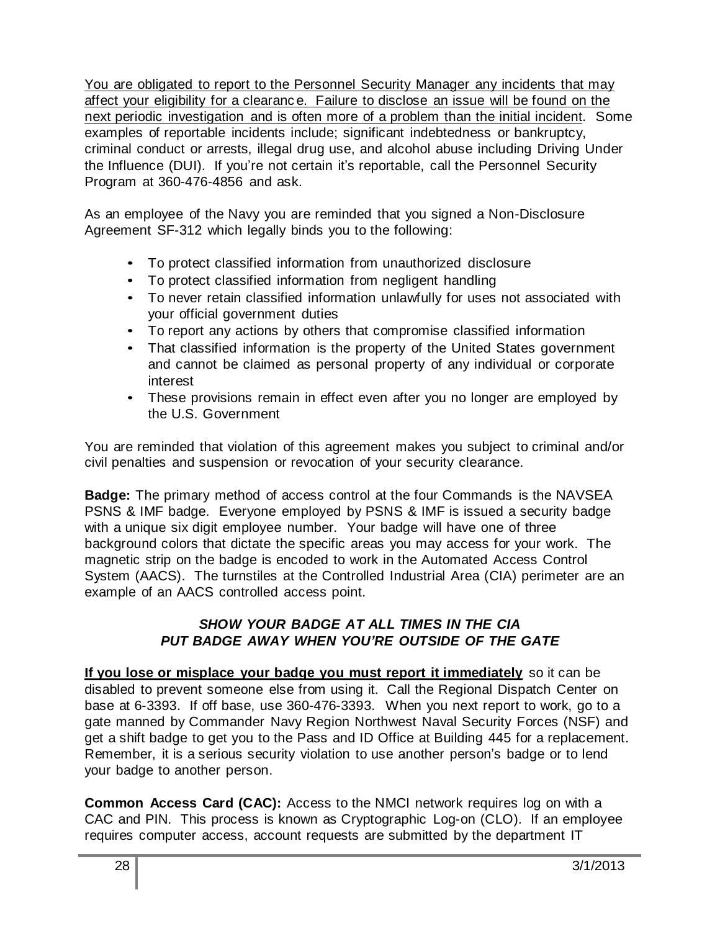You are obligated to report to the Personnel Security Manager any incidents that may affect your eligibility for a clearanc e. Failure to disclose an issue will be found on the next periodic investigation and is often more of a problem than the initial incident. Some examples of reportable incidents include; significant indebtedness or bankruptcy, criminal conduct or arrests, illegal drug use, and alcohol abuse including Driving Under the Influence (DUI). If you're not certain it's reportable, call the Personnel Security Program at 360-476-4856 and ask.

As an employee of the Navy you are reminded that you signed a Non-Disclosure Agreement SF-312 which legally binds you to the following:

- To protect classified information from unauthorized disclosure
- To protect classified information from negligent handling
- To never retain classified information unlawfully for uses not associated with your official government duties
- To report any actions by others that compromise classified information
- That classified information is the property of the United States government and cannot be claimed as personal property of any individual or corporate interest
- These provisions remain in effect even after you no longer are employed by the U.S. Government

You are reminded that violation of this agreement makes you subject to criminal and/or civil penalties and suspension or revocation of your security clearance.

**Badge:** The primary method of access control at the four Commands is the NAVSEA PSNS & IMF badge. Everyone employed by PSNS & IMF is issued a security badge with a unique six digit employee number. Your badge will have one of three background colors that dictate the specific areas you may access for your work. The magnetic strip on the badge is encoded to work in the Automated Access Control System (AACS). The turnstiles at the Controlled Industrial Area (CIA) perimeter are an example of an AACS controlled access point.

## *SHOW YOUR BADGE AT ALL TIMES IN THE CIA PUT BADGE AWAY WHEN YOU'RE OUTSIDE OF THE GATE*

**If you lose or misplace your badge you must report it immediately** so it can be disabled to prevent someone else from using it. Call the Regional Dispatch Center on base at 6-3393. If off base, use 360-476-3393. When you next report to work, go to a gate manned by Commander Navy Region Northwest Naval Security Forces (NSF) and get a shift badge to get you to the Pass and ID Office at Building 445 for a replacement. Remember, it is a serious security violation to use another person's badge or to lend your badge to another person.

**Common Access Card (CAC):** Access to the NMCI network requires log on with a CAC and PIN. This process is known as Cryptographic Log-on (CLO). If an employee requires computer access, account requests are submitted by the department IT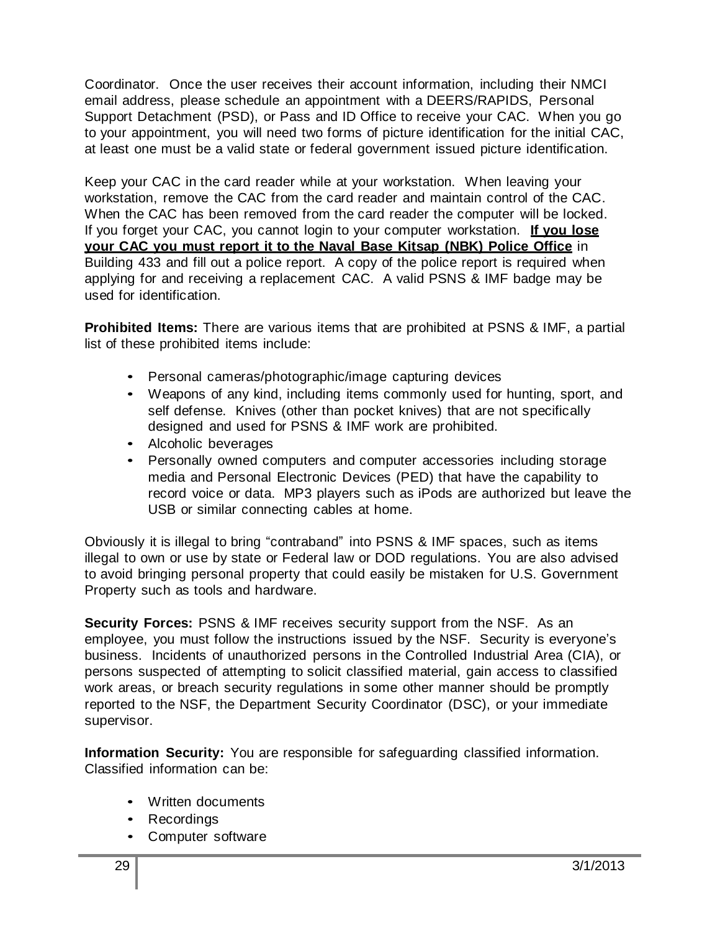Coordinator. Once the user receives their account information, including their NMCI email address, please schedule an appointment with a DEERS/RAPIDS, Personal Support Detachment (PSD), or Pass and ID Office to receive your CAC. When you go to your appointment, you will need two forms of picture identification for the initial CAC, at least one must be a valid state or federal government issued picture identification.

Keep your CAC in the card reader while at your workstation. When leaving your workstation, remove the CAC from the card reader and maintain control of the CAC. When the CAC has been removed from the card reader the computer will be locked. If you forget your CAC, you cannot login to your computer workstation. **If you lose your CAC you must report it to the Naval Base Kitsap (NBK) Police Office** in Building 433 and fill out a police report. A copy of the police report is required when applying for and receiving a replacement CAC. A valid PSNS & IMF badge may be used for identification.

**Prohibited Items:** There are various items that are prohibited at PSNS & IMF, a partial list of these prohibited items include:

- Personal cameras/photographic/image capturing devices
- Weapons of any kind, including items commonly used for hunting, sport, and self defense. Knives (other than pocket knives) that are not specifically designed and used for PSNS & IMF work are prohibited.
- Alcoholic beverages
- Personally owned computers and computer accessories including storage media and Personal Electronic Devices (PED) that have the capability to record voice or data. MP3 players such as iPods are authorized but leave the USB or similar connecting cables at home.

Obviously it is illegal to bring "contraband" into PSNS & IMF spaces, such as items illegal to own or use by state or Federal law or DOD regulations. You are also advised to avoid bringing personal property that could easily be mistaken for U.S. Government Property such as tools and hardware.

**Security Forces:** PSNS & IMF receives security support from the NSF. As an employee, you must follow the instructions issued by the NSF. Security is everyone's business. Incidents of unauthorized persons in the Controlled Industrial Area (CIA), or persons suspected of attempting to solicit classified material, gain access to classified work areas, or breach security regulations in some other manner should be promptly reported to the NSF, the Department Security Coordinator (DSC), or your immediate supervisor.

**Information Security:** You are responsible for safeguarding classified information. Classified information can be:

- Written documents
- Recordings
- Computer software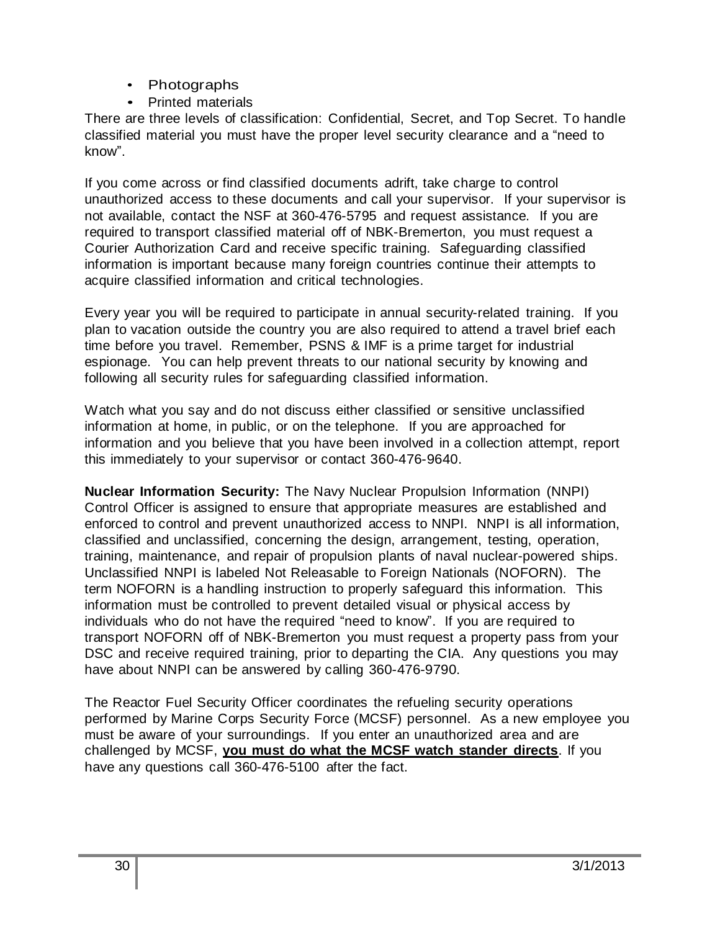- Photographs
- Printed materials

There are three levels of classification: Confidential, Secret, and Top Secret. To handle classified material you must have the proper level security clearance and a "need to know".

If you come across or find classified documents adrift, take charge to control unauthorized access to these documents and call your supervisor. If your supervisor is not available, contact the NSF at 360-476-5795 and request assistance. If you are required to transport classified material off of NBK-Bremerton, you must request a Courier Authorization Card and receive specific training. Safeguarding classified information is important because many foreign countries continue their attempts to acquire classified information and critical technologies.

Every year you will be required to participate in annual security-related training. If you plan to vacation outside the country you are also required to attend a travel brief each time before you travel. Remember, PSNS & IMF is a prime target for industrial espionage. You can help prevent threats to our national security by knowing and following all security rules for safeguarding classified information.

Watch what you say and do not discuss either classified or sensitive unclassified information at home, in public, or on the telephone. If you are approached for information and you believe that you have been involved in a collection attempt, report this immediately to your supervisor or contact 360-476-9640.

**Nuclear Information Security:** The Navy Nuclear Propulsion Information (NNPI) Control Officer is assigned to ensure that appropriate measures are established and enforced to control and prevent unauthorized access to NNPI. NNPI is all information, classified and unclassified, concerning the design, arrangement, testing, operation, training, maintenance, and repair of propulsion plants of naval nuclear-powered ships. Unclassified NNPI is labeled Not Releasable to Foreign Nationals (NOFORN). The term NOFORN is a handling instruction to properly safeguard this information. This information must be controlled to prevent detailed visual or physical access by individuals who do not have the required "need to know". If you are required to transport NOFORN off of NBK-Bremerton you must request a property pass from your DSC and receive required training, prior to departing the CIA. Any questions you may have about NNPI can be answered by calling 360-476-9790.

The Reactor Fuel Security Officer coordinates the refueling security operations performed by Marine Corps Security Force (MCSF) personnel. As a new employee you must be aware of your surroundings. If you enter an unauthorized area and are challenged by MCSF, **you must do what the MCSF watch stander directs**. If you have any questions call 360-476-5100 after the fact.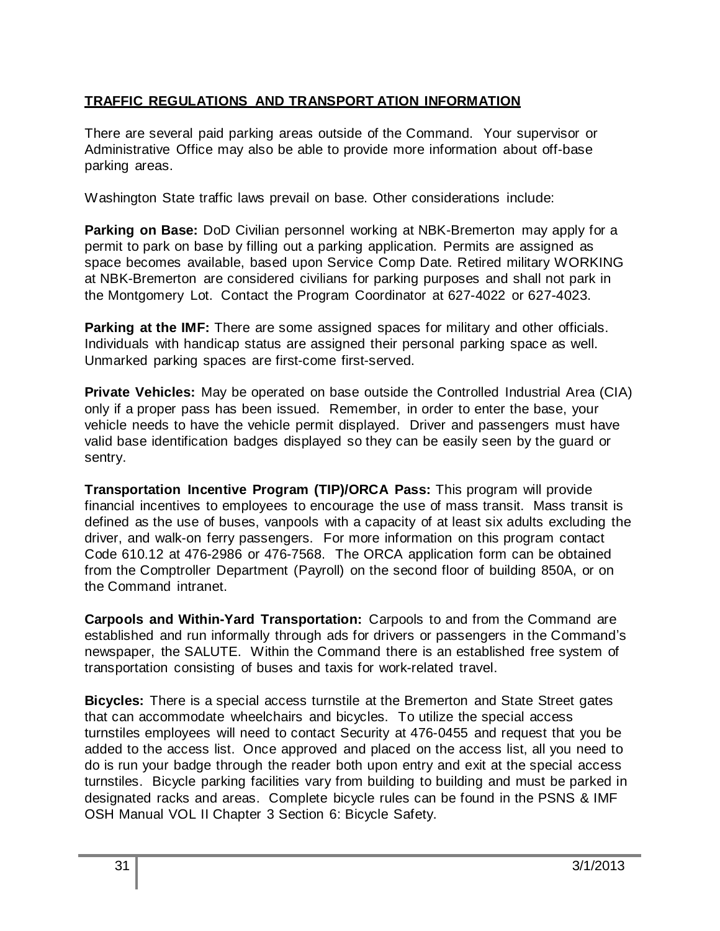## **TRAFFIC REGULATIONS AND TRANSPORT ATION INFORMATION**

There are several paid parking areas outside of the Command. Your supervisor or Administrative Office may also be able to provide more information about off-base parking areas.

Washington State traffic laws prevail on base. Other considerations include:

**Parking on Base:** DoD Civilian personnel working at NBK-Bremerton may apply for a permit to park on base by filling out a parking application. Permits are assigned as space becomes available, based upon Service Comp Date. Retired military WORKING at NBK-Bremerton are considered civilians for parking purposes and shall not park in the Montgomery Lot. Contact the Program Coordinator at 627-4022 or 627-4023.

**Parking at the IMF:** There are some assigned spaces for military and other officials. Individuals with handicap status are assigned their personal parking space as well. Unmarked parking spaces are first-come first-served.

**Private Vehicles:** May be operated on base outside the Controlled Industrial Area (CIA) only if a proper pass has been issued. Remember, in order to enter the base, your vehicle needs to have the vehicle permit displayed. Driver and passengers must have valid base identification badges displayed so they can be easily seen by the guard or sentry.

**Transportation Incentive Program (TIP)/ORCA Pass:** This program will provide financial incentives to employees to encourage the use of mass transit. Mass transit is defined as the use of buses, vanpools with a capacity of at least six adults excluding the driver, and walk-on ferry passengers. For more information on this program contact Code 610.12 at 476-2986 or 476-7568. The ORCA application form can be obtained from the Comptroller Department (Payroll) on the second floor of building 850A, or on the Command intranet.

**Carpools and Within-Yard Transportation:** Carpools to and from the Command are established and run informally through ads for drivers or passengers in the Command's newspaper, the SALUTE. Within the Command there is an established free system of transportation consisting of buses and taxis for work-related travel.

**Bicycles:** There is a special access turnstile at the Bremerton and State Street gates that can accommodate wheelchairs and bicycles. To utilize the special access turnstiles employees will need to contact Security at 476-0455 and request that you be added to the access list. Once approved and placed on the access list, all you need to do is run your badge through the reader both upon entry and exit at the special access turnstiles. Bicycle parking facilities vary from building to building and must be parked in designated racks and areas. Complete bicycle rules can be found in the PSNS & IMF OSH Manual VOL II Chapter 3 Section 6: Bicycle Safety.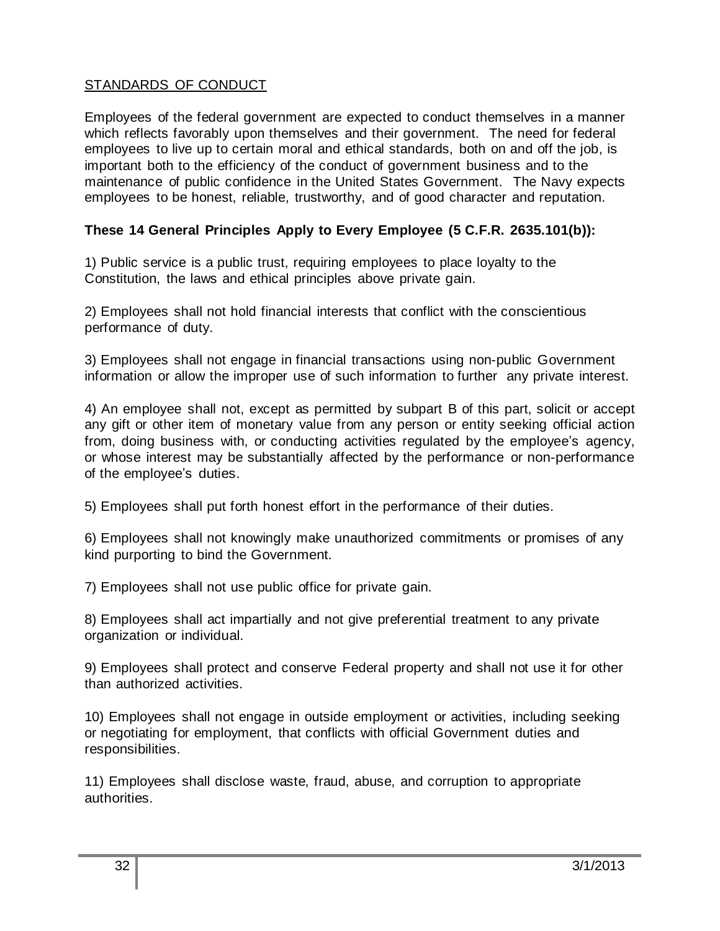## STANDARDS OF CONDUCT

Employees of the federal government are expected to conduct themselves in a manner which reflects favorably upon themselves and their government. The need for federal employees to live up to certain moral and ethical standards, both on and off the job, is important both to the efficiency of the conduct of government business and to the maintenance of public confidence in the United States Government. The Navy expects employees to be honest, reliable, trustworthy, and of good character and reputation.

## **These 14 General Principles Apply to Every Employee (5 C.F.R. 2635.101(b)):**

1) Public service is a public trust, requiring employees to place loyalty to the Constitution, the laws and ethical principles above private gain.

2) Employees shall not hold financial interests that conflict with the conscientious performance of duty.

3) Employees shall not engage in financial transactions using non-public Government information or allow the improper use of such information to further any private interest.

4) An employee shall not, except as permitted by subpart B of this part, solicit or accept any gift or other item of monetary value from any person or entity seeking official action from, doing business with, or conducting activities regulated by the employee's agency, or whose interest may be substantially affected by the performance or non-performance of the employee's duties.

5) Employees shall put forth honest effort in the performance of their duties.

6) Employees shall not knowingly make unauthorized commitments or promises of any kind purporting to bind the Government.

7) Employees shall not use public office for private gain.

8) Employees shall act impartially and not give preferential treatment to any private organization or individual.

9) Employees shall protect and conserve Federal property and shall not use it for other than authorized activities.

10) Employees shall not engage in outside employment or activities, including seeking or negotiating for employment, that conflicts with official Government duties and responsibilities.

11) Employees shall disclose waste, fraud, abuse, and corruption to appropriate authorities.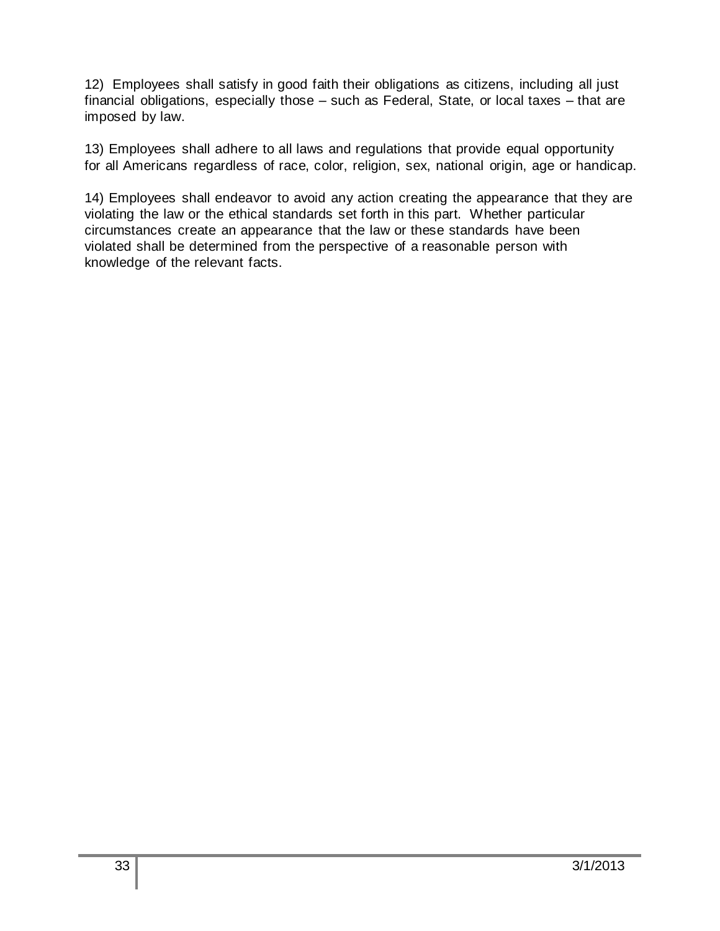12) Employees shall satisfy in good faith their obligations as citizens, including all just financial obligations, especially those – such as Federal, State, or local taxes – that are imposed by law.

13) Employees shall adhere to all laws and regulations that provide equal opportunity for all Americans regardless of race, color, religion, sex, national origin, age or handicap.

14) Employees shall endeavor to avoid any action creating the appearance that they are violating the law or the ethical standards set forth in this part. Whether particular circumstances create an appearance that the law or these standards have been violated shall be determined from the perspective of a reasonable person with knowledge of the relevant facts.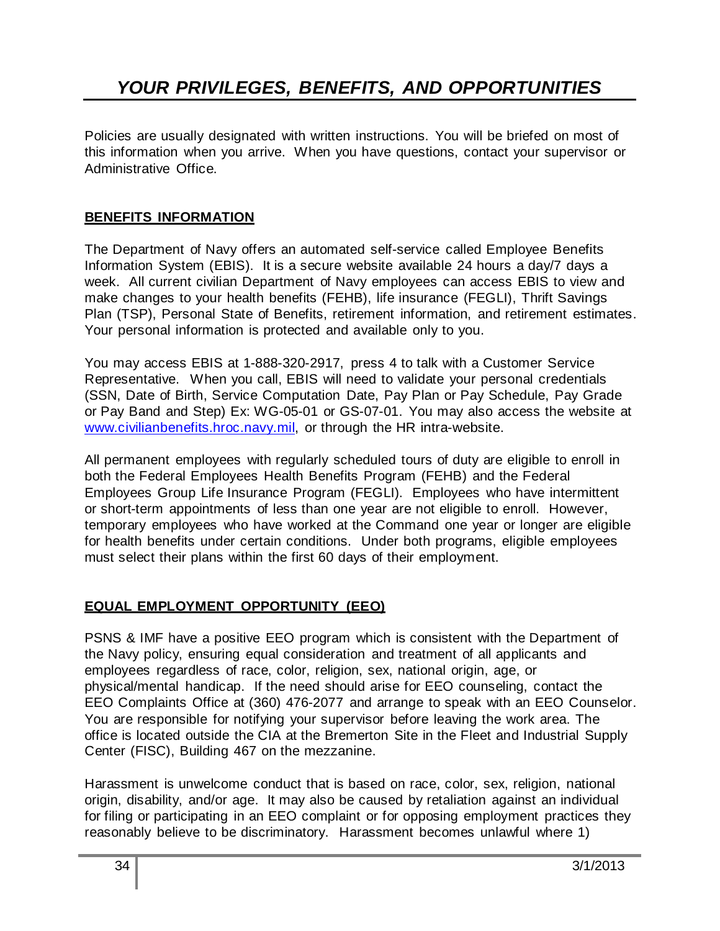Policies are usually designated with written instructions. You will be briefed on most of this information when you arrive. When you have questions, contact your supervisor or Administrative Office.

## **BENEFITS INFORMATION**

The Department of Navy offers an automated self-service called Employee Benefits Information System (EBIS). It is a secure website available 24 hours a day/7 days a week. All current civilian Department of Navy employees can access EBIS to view and make changes to your health benefits (FEHB), life insurance (FEGLI), Thrift Savings Plan (TSP), Personal State of Benefits, retirement information, and retirement estimates. Your personal information is protected and available only to you.

You may access EBIS at 1-888-320-2917, press 4 to talk with a Customer Service Representative. When you call, EBIS will need to validate your personal credentials (SSN, Date of Birth, Service Computation Date, Pay Plan or Pay Schedule, Pay Grade or Pay Band and Step) Ex: WG-05-01 or GS-07-01. You may also access the website at [www.civilianbenefits.hroc.navy.mil,](http://www.civilianbenefits.hroc.navy.mil/) or through the HR intra-website.

All permanent employees with regularly scheduled tours of duty are eligible to enroll in both the Federal Employees Health Benefits Program (FEHB) and the Federal Employees Group Life Insurance Program (FEGLI). Employees who have intermittent or short-term appointments of less than one year are not eligible to enroll. However, temporary employees who have worked at the Command one year or longer are eligible for health benefits under certain conditions. Under both programs, eligible employees must select their plans within the first 60 days of their employment.

## **EQUAL EMPLOYMENT OPPORTUNITY (EEO)**

PSNS & IMF have a positive EEO program which is consistent with the Department of the Navy policy, ensuring equal consideration and treatment of all applicants and employees regardless of race, color, religion, sex, national origin, age, or physical/mental handicap. If the need should arise for EEO counseling, contact the EEO Complaints Office at (360) 476-2077 and arrange to speak with an EEO Counselor. You are responsible for notifying your supervisor before leaving the work area. The office is located outside the CIA at the Bremerton Site in the Fleet and Industrial Supply Center (FISC), Building 467 on the mezzanine.

Harassment is unwelcome conduct that is based on race, color, sex, religion, national origin, disability, and/or age. It may also be caused by retaliation against an individual for filing or participating in an EEO complaint or for opposing employment practices they reasonably believe to be discriminatory. Harassment becomes unlawful where 1)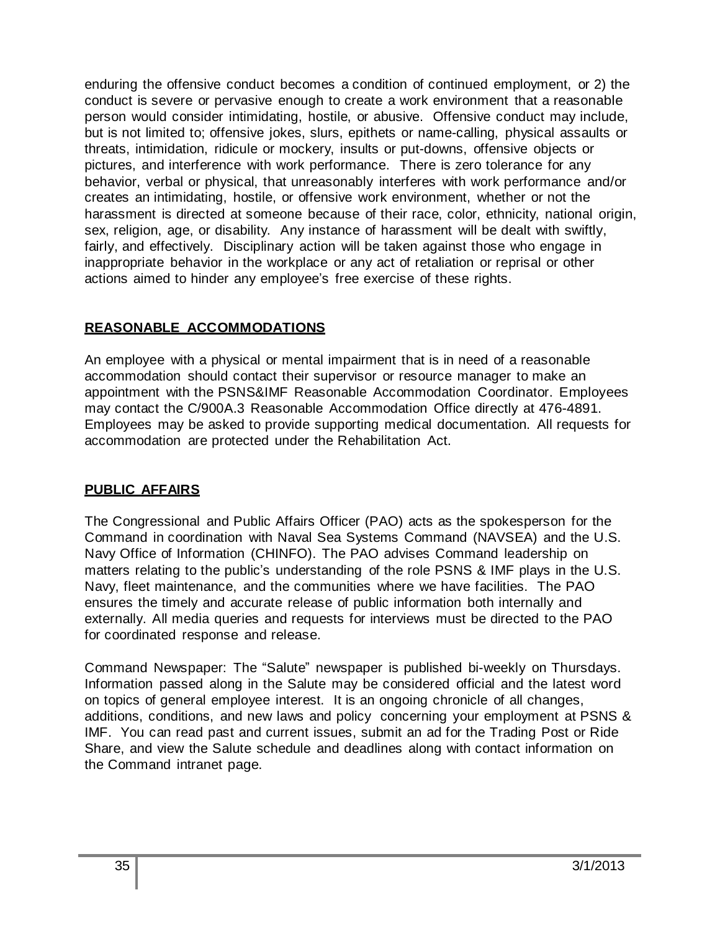enduring the offensive conduct becomes a condition of continued employment, or 2) the conduct is severe or pervasive enough to create a work environment that a reasonable person would consider intimidating, hostile, or abusive. Offensive conduct may include, but is not limited to; offensive jokes, slurs, epithets or name-calling, physical assaults or threats, intimidation, ridicule or mockery, insults or put-downs, offensive objects or pictures, and interference with work performance. There is zero tolerance for any behavior, verbal or physical, that unreasonably interferes with work performance and/or creates an intimidating, hostile, or offensive work environment, whether or not the harassment is directed at someone because of their race, color, ethnicity, national origin, sex, religion, age, or disability. Any instance of harassment will be dealt with swiftly, fairly, and effectively. Disciplinary action will be taken against those who engage in inappropriate behavior in the workplace or any act of retaliation or reprisal or other actions aimed to hinder any employee's free exercise of these rights.

## **REASONABLE ACCOMMODATIONS**

An employee with a physical or mental impairment that is in need of a reasonable accommodation should contact their supervisor or resource manager to make an appointment with the PSNS&IMF Reasonable Accommodation Coordinator. Employees may contact the C/900A.3 Reasonable Accommodation Office directly at 476-4891. Employees may be asked to provide supporting medical documentation. All requests for accommodation are protected under the Rehabilitation Act.

## **PUBLIC AFFAIRS**

The Congressional and Public Affairs Officer (PAO) acts as the spokesperson for the Command in coordination with Naval Sea Systems Command (NAVSEA) and the U.S. Navy Office of Information (CHINFO). The PAO advises Command leadership on matters relating to the public's understanding of the role PSNS & IMF plays in the U.S. Navy, fleet maintenance, and the communities where we have facilities. The PAO ensures the timely and accurate release of public information both internally and externally. All media queries and requests for interviews must be directed to the PAO for coordinated response and release.

Command Newspaper: The "Salute" newspaper is published bi-weekly on Thursdays. Information passed along in the Salute may be considered official and the latest word on topics of general employee interest. It is an ongoing chronicle of all changes, additions, conditions, and new laws and policy concerning your employment at PSNS & IMF. You can read past and current issues, submit an ad for the Trading Post or Ride Share, and view the Salute schedule and deadlines along with contact information on the Command intranet page.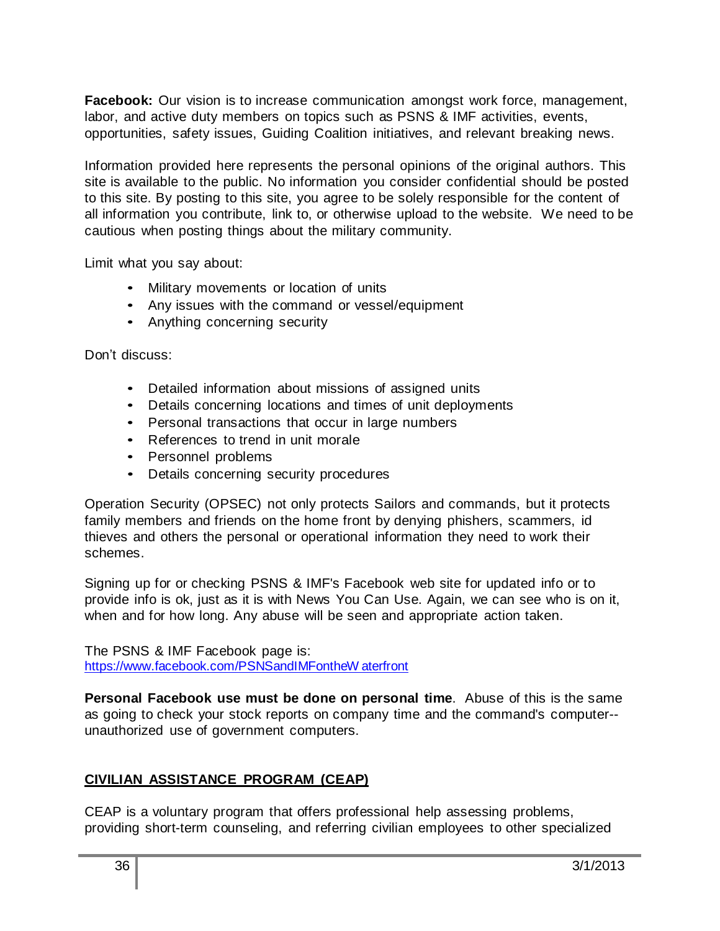**Facebook:** Our vision is to increase communication amongst work force, management, labor, and active duty members on topics such as PSNS & IMF activities, events, opportunities, safety issues, Guiding Coalition initiatives, and relevant breaking news.

Information provided here represents the personal opinions of the original authors. This site is available to the public. No information you consider confidential should be posted to this site. By posting to this site, you agree to be solely responsible for the content of all information you contribute, link to, or otherwise upload to the website. We need to be cautious when posting things about the military community.

Limit what you say about:

- Military movements or location of units
- Any issues with the command or vessel/equipment
- Anything concerning security

Don't discuss:

- Detailed information about missions of assigned units
- Details concerning locations and times of unit deployments
- Personal transactions that occur in large numbers
- References to trend in unit morale
- Personnel problems
- Details concerning security procedures

Operation Security (OPSEC) not only protects Sailors and commands, but it protects family members and friends on the home front by denying phishers, scammers, id thieves and others the personal or operational information they need to work their schemes.

Signing up for or checking PSNS & IMF's Facebook web site for updated info or to provide info is ok, just as it is with News You Can Use. Again, we can see who is on it, when and for how long. Any abuse will be seen and appropriate action taken.

The PSNS & IMF Facebook page is: [https://www.facebook.com/PSNSandIMFontheW](https://www.facebook.com/PSNSandIMFontheWaterfront) aterfront

**Personal Facebook use must be done on personal time**. Abuse of this is the same as going to check your stock reports on company time and the command's computer- unauthorized use of government computers.

## **CIVILIAN ASSISTANCE PROGRAM (CEAP)**

CEAP is a voluntary program that offers professional help assessing problems, providing short-term counseling, and referring civilian employees to other specialized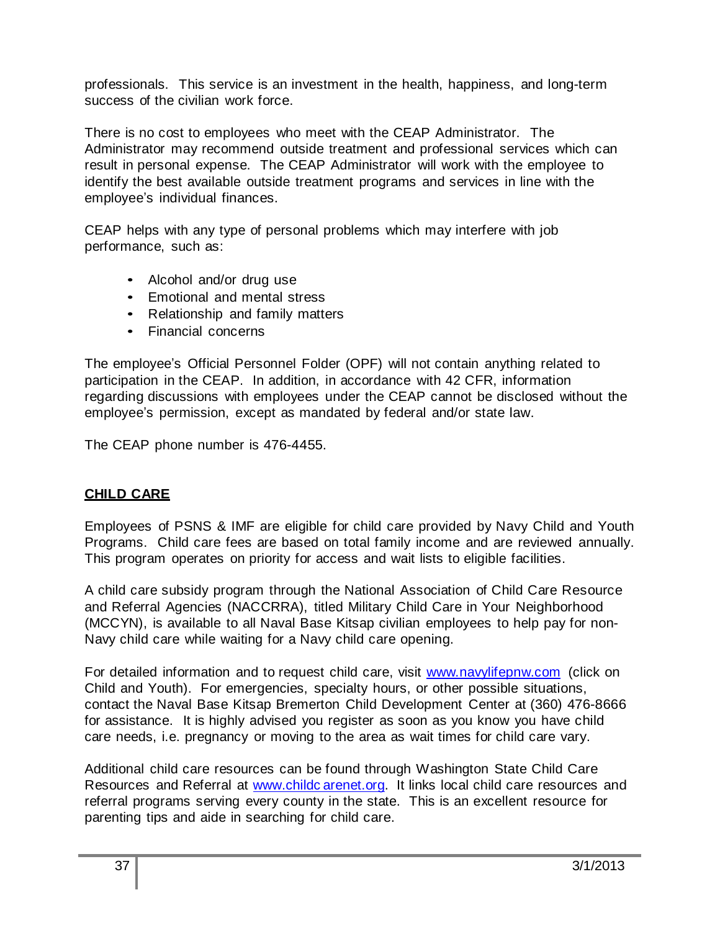professionals. This service is an investment in the health, happiness, and long-term success of the civilian work force.

There is no cost to employees who meet with the CEAP Administrator. The Administrator may recommend outside treatment and professional services which can result in personal expense. The CEAP Administrator will work with the employee to identify the best available outside treatment programs and services in line with the employee's individual finances.

CEAP helps with any type of personal problems which may interfere with job performance, such as:

- Alcohol and/or drug use
- Emotional and mental stress
- Relationship and family matters
- Financial concerns

The employee's Official Personnel Folder (OPF) will not contain anything related to participation in the CEAP. In addition, in accordance with 42 CFR, information regarding discussions with employees under the CEAP cannot be disclosed without the employee's permission, except as mandated by federal and/or state law.

The CEAP phone number is 476-4455.

## **CHILD CARE**

Employees of PSNS & IMF are eligible for child care provided by Navy Child and Youth Programs. Child care fees are based on total family income and are reviewed annually. This program operates on priority for access and wait lists to eligible facilities.

A child care subsidy program through the National Association of Child Care Resource and Referral Agencies (NACCRRA), titled Military Child Care in Your Neighborhood (MCCYN), is available to all Naval Base Kitsap civilian employees to help pay for non-Navy child care while waiting for a Navy child care opening.

For detailed information and to request child care, visit [www.navylifepnw.com](http://www.navylifepnw.com/) (click on Child and Youth). For emergencies, specialty hours, or other possible situations, contact the Naval Base Kitsap Bremerton Child Development Center at (360) 476-8666 for assistance. It is highly advised you register as soon as you know you have child care needs, i.e. pregnancy or moving to the area as wait times for child care vary.

Additional child care resources can be found through Washington State Child Care Resources and Referral at www.childc arenet.org. It links local child care resources and referral programs serving every county in the state. This is an excellent resource for parenting tips and aide in searching for child care.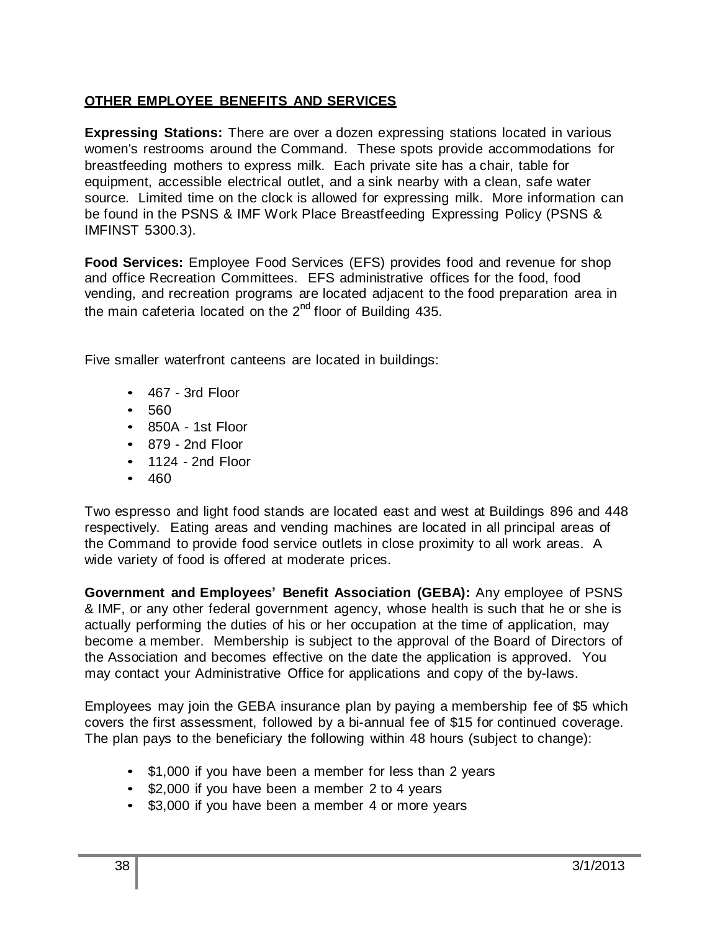## **OTHER EMPLOYEE BENEFITS AND SERVICES**

**Expressing Stations:** There are over a dozen expressing stations located in various women's restrooms around the Command. These spots provide accommodations for breastfeeding mothers to express milk. Each private site has a chair, table for equipment, accessible electrical outlet, and a sink nearby with a clean, safe water source. Limited time on the clock is allowed for expressing milk. More information can be found in the PSNS & IMF Work Place Breastfeeding Expressing Policy (PSNS & IMFINST 5300.3).

**Food Services:** Employee Food Services (EFS) provides food and revenue for shop and office Recreation Committees. EFS administrative offices for the food, food vending, and recreation programs are located adjacent to the food preparation area in the main cafeteria located on the 2<sup>nd</sup> floor of Building 435.

Five smaller waterfront canteens are located in buildings:

- 467 3rd Floor
- 560
- 850A 1st Floor
- 879 2nd Floor
- 1124 2nd Floor
- 460

Two espresso and light food stands are located east and west at Buildings 896 and 448 respectively. Eating areas and vending machines are located in all principal areas of the Command to provide food service outlets in close proximity to all work areas. A wide variety of food is offered at moderate prices.

**Government and Employees' Benefit Association (GEBA):** Any employee of PSNS & IMF, or any other federal government agency, whose health is such that he or she is actually performing the duties of his or her occupation at the time of application, may become a member. Membership is subject to the approval of the Board of Directors of the Association and becomes effective on the date the application is approved. You may contact your Administrative Office for applications and copy of the by-laws.

Employees may join the GEBA insurance plan by paying a membership fee of \$5 which covers the first assessment, followed by a bi-annual fee of \$15 for continued coverage. The plan pays to the beneficiary the following within 48 hours (subject to change):

- \$1,000 if you have been a member for less than 2 years
- \$2,000 if you have been a member 2 to 4 years
- \$3,000 if you have been a member 4 or more years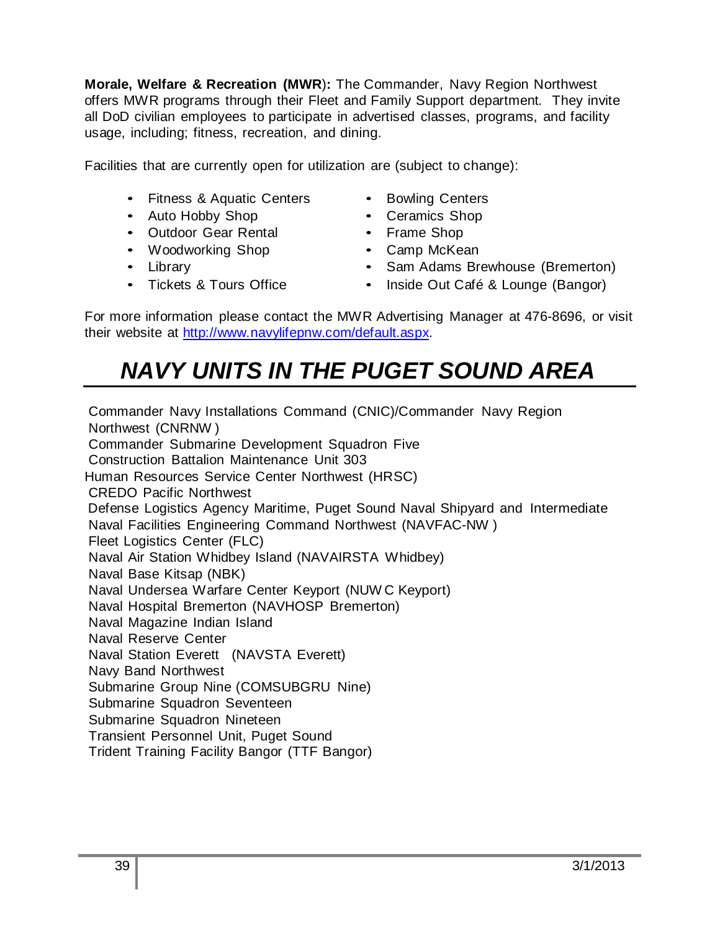**Morale, Welfare & Recreation (MWR**)**:** The Commander, Navy Region Northwest offers MWR programs through their Fleet and Family Support department. They invite all DoD civilian employees to participate in advertised classes, programs, and facility usage, including; fitness, recreation, and dining.

Facilities that are currently open for utilization are (subject to change):

- Fitness & Aquatic Centers
- Auto Hobby Shop
- Outdoor Gear Rental
- Woodworking Shop
- Library
- Tickets & Tours Office
- Bowling Centers
- Ceramics Shop
- Frame Shop
- Camp McKean
- Sam Adams Brewhouse (Bremerton)
- Inside Out Café & Lounge (Bangor)

For more information please contact the MWR Advertising Manager at 476-8696, or visit their website at [http://www.navylifepnw.com/default.aspx.](http://www.navylifepnw.com/default.aspx)

# *NAVY UNITS IN THE PUGET SOUND AREA*

Commander Navy Installations Command (CNIC)/Commander Navy Region Northwest (CNRNW ) Commander Submarine Development Squadron Five Construction Battalion Maintenance Unit 303 Human Resources Service Center Northwest (HRSC) CREDO Pacific Northwest Defense Logistics Agency Maritime, Puget Sound Naval Shipyard and Intermediate Naval Facilities Engineering Command Northwest (NAVFAC-NW ) Fleet Logistics Center (FLC) Naval Air Station Whidbey Island (NAVAIRSTA Whidbey) Naval Base Kitsap (NBK) Naval Undersea Warfare Center Keyport (NUW C Keyport) Naval Hospital Bremerton (NAVHOSP Bremerton) Naval Magazine Indian Island Naval Reserve Center Naval Station Everett (NAVSTA Everett) Navy Band Northwest Submarine Group Nine (COMSUBGRU Nine) Submarine Squadron Seventeen Submarine Squadron Nineteen Transient Personnel Unit, Puget Sound Trident Training Facility Bangor (TTF Bangor)